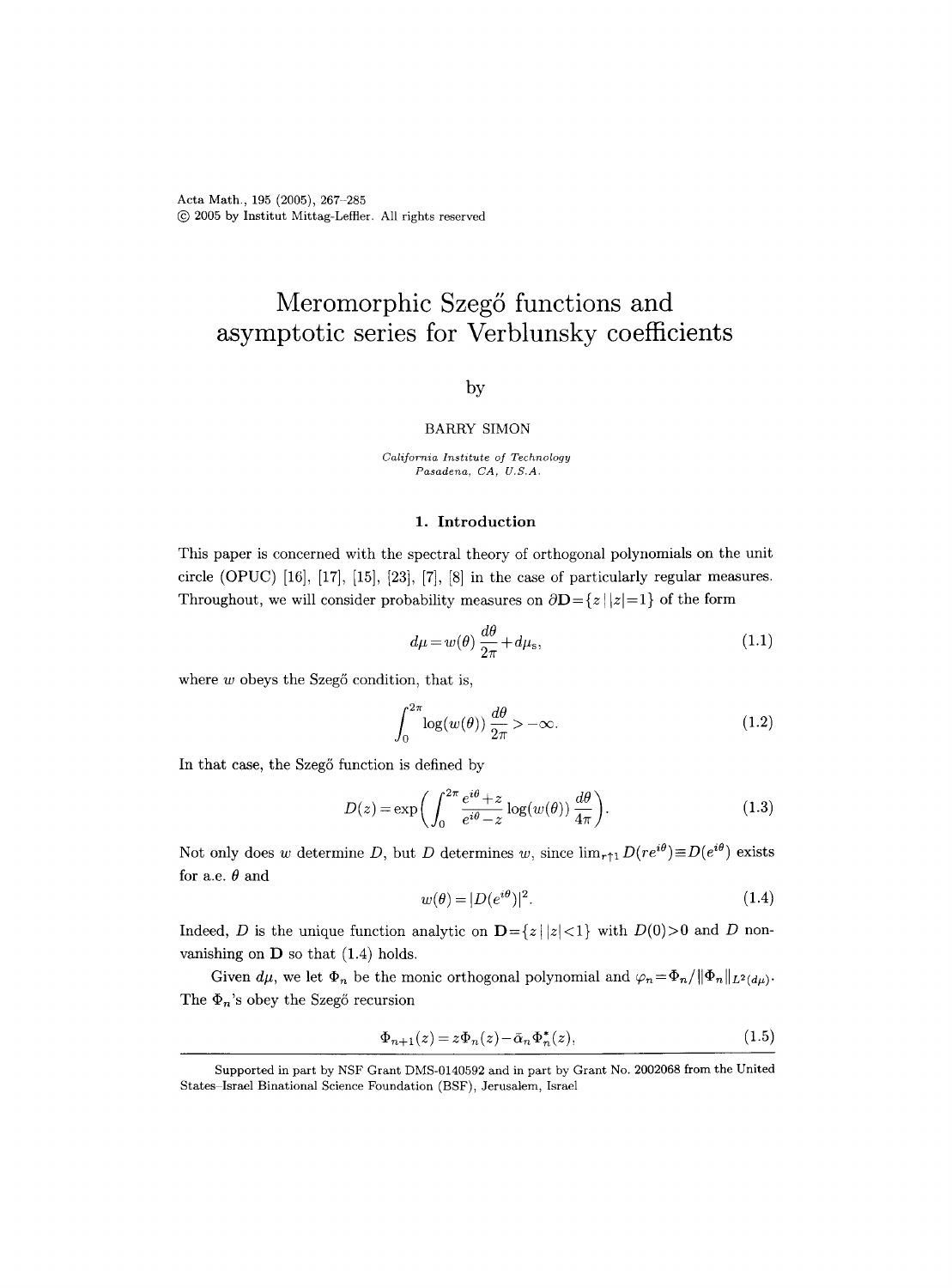Acta Math., 195 (2005), 267-285 (~) 2005 by Institut Mittag-Leffier. All rights reserved

# **Meromorphic Szeg5 functions and asymptotic series for Verblunsky coefficients**

# by

#### BARRY SIMON

*California Institute of Technology Pasadena, CA, U.S.A.* 

## 1. Introduction

This paper is concerned with the spectral theory of orthogonal polynomials on the unit circle (OPUC)  $[16]$ ,  $[17]$ ,  $[15]$ ,  $[23]$ ,  $[7]$ ,  $[8]$  in the case of particularly regular measures. Throughout, we will consider probability measures on  $\partial \mathbf{D} = \{z \mid |z|=1\}$  of the form

$$
d\mu = w(\theta) \frac{d\theta}{2\pi} + d\mu_{\rm s},\tag{1.1}
$$

where  $w$  obeys the Szeg $\ddot{o}$  condition, that is,

 $\int_0^{2\pi} \log(w(\theta)) \frac{d\theta}{2\pi} > -\infty.$  (1.2)

In that case, the Szegő function is defined by

$$
D(z) = \exp\left(\int_0^{2\pi} \frac{e^{i\theta} + z}{e^{i\theta} - z} \log(w(\theta)) \frac{d\theta}{4\pi}\right).
$$
 (1.3)

Not only does w determine D, but D determines w, since  $\lim_{r\uparrow 1} D(re^{i\theta}) \equiv D(e^{i\theta})$  exists for a.e.  $\theta$  and

$$
w(\theta) = |D(e^{i\theta})|^2. \tag{1.4}
$$

Indeed, D is the unique function analytic on  $\mathbf{D} = \{z \mid |z| < 1\}$  with  $D(0) > 0$  and D nonvanishing on  $\bf{D}$  so that (1.4) holds.

Given  $d\mu$ , we let  $\Phi_n$  be the monic orthogonal polynomial and  $\varphi_n = \Phi_n / ||\Phi_n||_{L^2(d\mu)}$ . The  $\Phi_n$ 's obey the Szegő recursion

$$
\Phi_{n+1}(z) = z \Phi_n(z) - \bar{\alpha}_n \Phi_n^*(z),\tag{1.5}
$$

Supported in part by NSF Grant DMS-0140592 and in part by Grant No. 2002068 from the United States Israel Binational Science Foundation (BSF), Jerusalem, Israel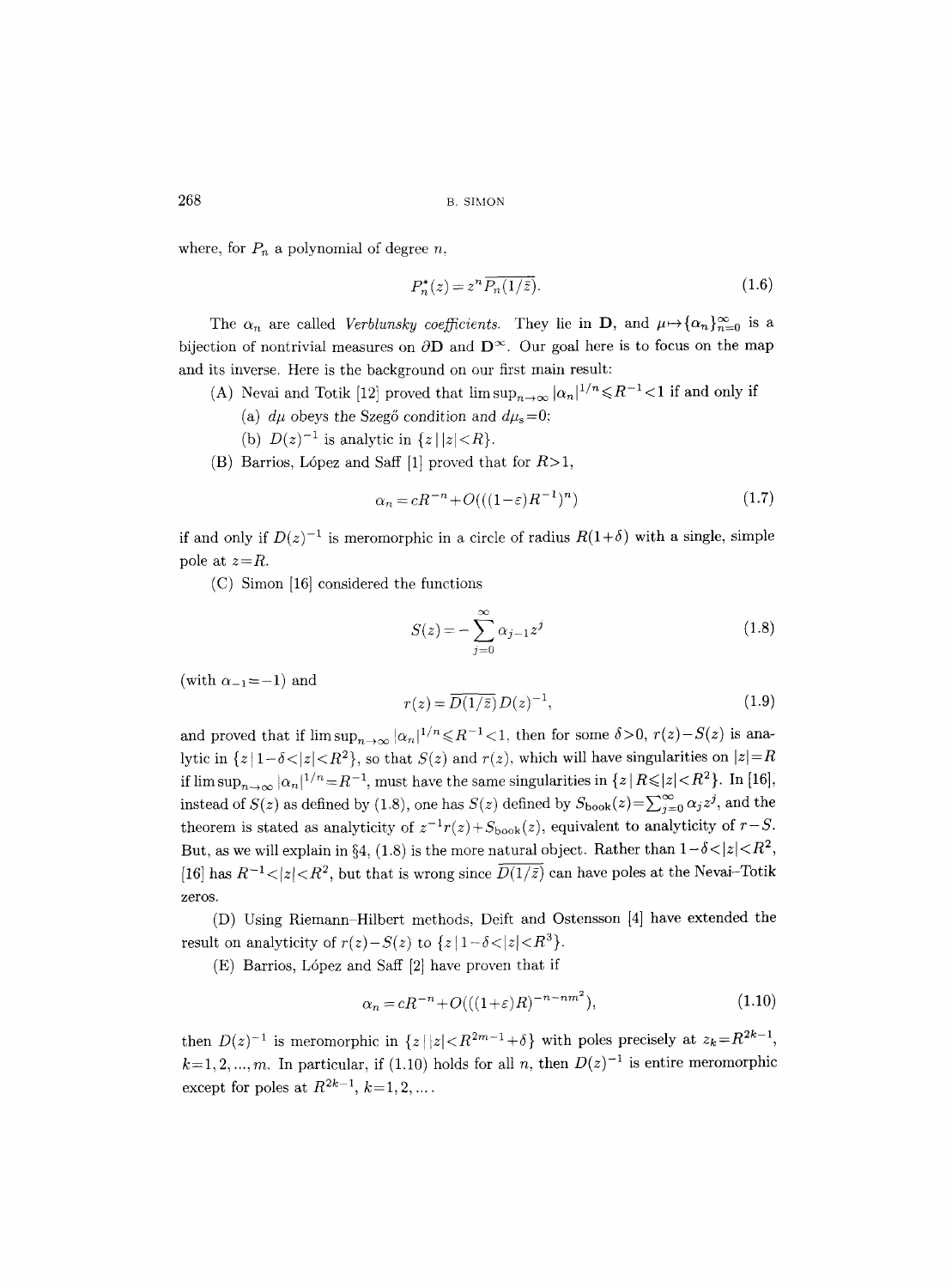where, for  $P_n$  a polynomial of degree n,

$$
P_n^*(z) = z^n \overline{P_n(1/\bar{z})}.
$$
\n(1.6)

The  $\alpha_n$  are called *Verblunsky coefficients*. They lie in **D**, and  $\mu \mapsto {\{\alpha_n\}}_{n=0}^{\infty}$  is a bijection of nontrivial measures on  $\partial$ **D** and  $D^{\infty}$ . Our goal here is to focus on the map and its inverse. Here is the background on our first main result:

- (A) Nevai and Totik [12] proved that  $\limsup_{n\to\infty} |\alpha_n|^{1/n} \leq R^{-1} < 1$  if and only if
	- (a)  $d\mu$  obeys the Szegő condition and  $d\mu_s=0$ ;
	- (b)  $D(z)^{-1}$  is analytic in  $\{z \mid |z| < R\}.$
- (B) Barrios, López and Saff [1] proved that for  $R>1$ ,

$$
\alpha_n = cR^{-n} + O(((1 - \varepsilon)R^{-1})^n)
$$
\n(1.7)

if and only if  $D(z)^{-1}$  is meromorphic in a circle of radius  $R(1+\delta)$  with a single, simple pole at *z=R.* 

(C) Simon [16] considered the functions

$$
S(z) = -\sum_{j=0}^{\infty} \alpha_{j-1} z^j
$$
 (1.8)

(with  $\alpha_{-1}=-1$ ) and

$$
r(z) = \overline{D(1/\bar{z})} D(z)^{-1},
$$
\n(1.9)

and proved that if  $\limsup_{n\to\infty} |\alpha_n|^{1/n} \leq R^{-1} < 1$ , then for some  $\delta > 0$ ,  $r(z) - S(z)$  is analytic in  $\{z \mid 1-\delta \lt |z| \lt R^2\}$ , so that  $S(z)$  and  $r(z)$ , which will have singularities on  $|z|=R$ if  $\limsup_{n\to\infty} |\alpha_n|^{1/n} = R^{-1}$ , must have the same singularities in  $\{z | R \leq |z| < R^2\}$ . In [16], instead of  $S(z)$  as defined by (1.8), one has  $S(z)$  defined by  $S_{\text{book}}(z) = \sum_{j=0}^{\infty} \alpha_j z^j$ , and the theorem is stated as analyticity of  $z^{-1}r(z) + S_{\text{book}}(z)$ , equivalent to analyticity of  $r-S$ . But, as we will explain in §4, (1.8) is the more natural object. Rather than  $1-\delta < |z| < R^2$ , [16] has  $R^{-1}$  <  $|z|$  <  $R^2$ , but that is wrong since  $\overline{D(1/\bar{z})}$  can have poles at the Nevai-Totik zeros.

(D) Using Riemann-Hilbert methods, Deift and Ostensson [4] have extended the result on analyticity of  $r(z)-S(z)$  to  $\{z \mid 1-\delta < |z| < R^3\}.$ 

 $(E)$  Barrios, López and Saff  $[2]$  have proven that if

$$
\alpha_n = cR^{-n} + O(((1+\varepsilon)R)^{-n-nm^2}),\tag{1.10}
$$

then  $D(z)^{-1}$  is meromorphic in  $\{z \mid |z| < R^{2m-1} + \delta \}$  with poles precisely at  $z_k = R^{2k-1}$ ,  $k=1, 2, ..., m$ . In particular, if (1.10) holds for all n, then  $D(z)^{-1}$  is entire meromorphic except for poles at  $R^{2k-1}$ ,  $k=1, 2, ...$ .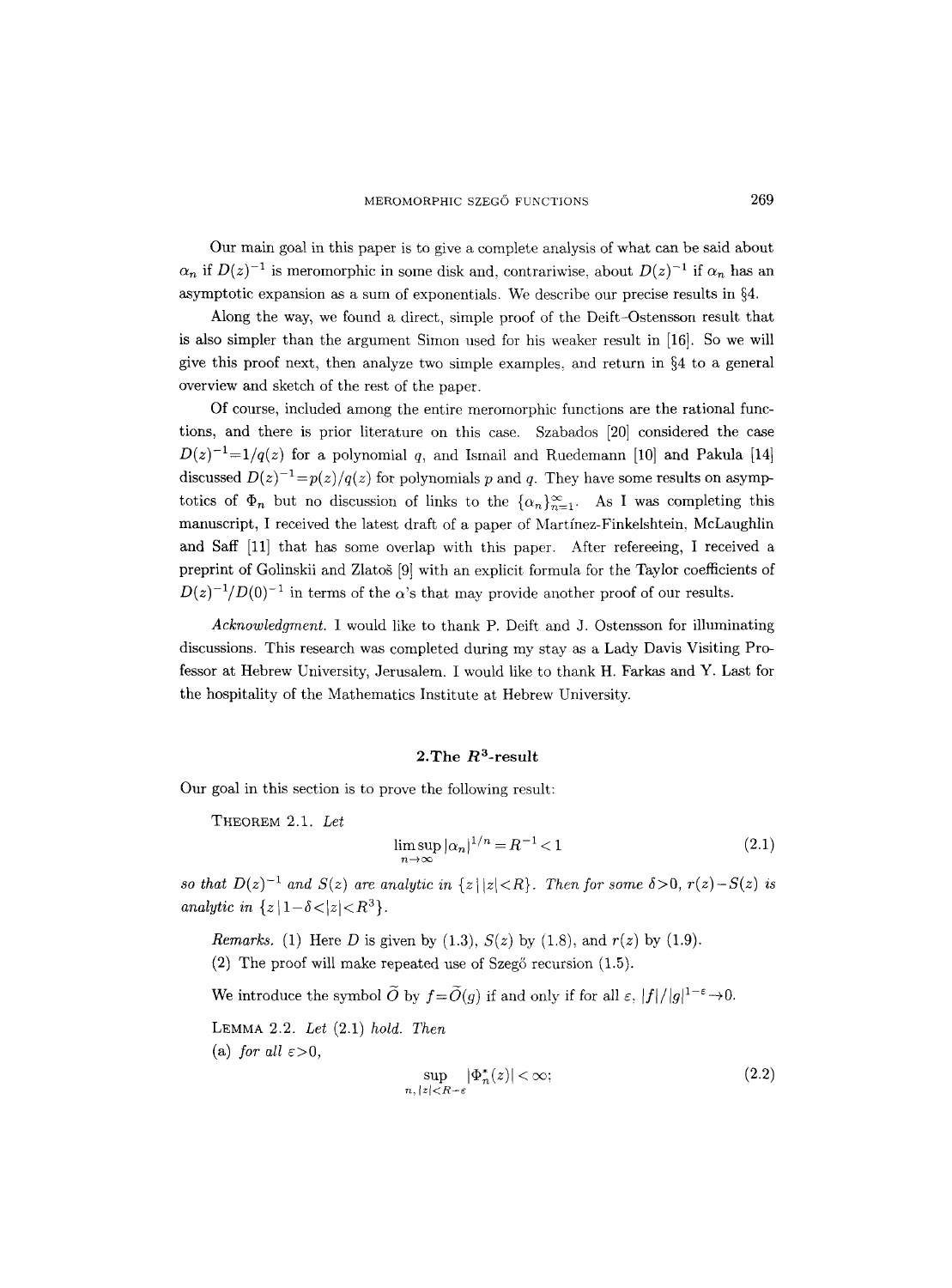Our main goal in this paper is to give a complete analysis of what can be said about  $\alpha_n$  if  $D(z)^{-1}$  is meromorphic in some disk and, contrariwise, about  $D(z)^{-1}$  if  $\alpha_n$  has an asymptotic expansion as a sum of exponentials. We describe our precise results in  $\S 4$ .

Along the way, we found a direct, simple proof of the Deift-Ostensson result that is also simpler than the argument Simon used for his weaker result in [16]. So we will give this proof next, then analyze two simple examples, and return in  $\S 4$  to a general overview and sketch of the rest of the paper.

Of course, included among the entire meromorphic functions are the rational functions, and there is prior literature on this case. Szabados [20] considered the case  $D(z)^{-1}=1/q(z)$  for a polynomial q, and Ismail and Ruedemann [10] and Pakula [14] discussed  $D(z)^{-1} = p(z)/q(z)$  for polynomials p and q. They have some results on asymptotics of  $\Phi_n$  but no discussion of links to the  $\{\alpha_n\}_{n=1}^{\infty}$ . As I was completing this manuscript, I received the latest draft of a paper of Martfnez-Finkelshtein, MeLaughlin and Saff [11] that has some overlap with this paper. After refereeing, I received a preprint of Golinskii and Zlatog [9] with an explicit formula for the Taylor coefficients of  $D(z)^{-1}/D(0)^{-1}$  in terms of the  $\alpha$ 's that may provide another proof of our results.

*Acknowledgment.* I would like to thank P. Deift and J. Ostensson for illuminating discussions. This research was completed during my stay as a Lady Davis Visiting Professor at Hebrew University, Jerusalem. I would like to thank H. Farkas and Y. Last for the hospitality of the Mathematics Institute at Hebrew University.

#### 2. The  $R^3$ -result

Our goal in this section is to prove the following result:

THEOREM 2.1. *Let* 

$$
\limsup_{n \to \infty} |\alpha_n|^{1/n} = R^{-1} < 1 \tag{2.1}
$$

*so that*  $D(z)^{-1}$  *and*  $S(z)$  *are analytic in*  $\{z \mid |z| < R\}$ *. Then for some*  $\delta > 0$ *, r(z)*  $-S(z)$  *is analytic in*  $\{z | 1-\delta < |z| < R^3\}.$ 

*Remarks.* (1) Here D is given by (1.3), *S(z)* by (1.8), and *r(z)* by (1.9).

 $(2)$  The proof will make repeated use of Szeg $\circ$  recursion  $(1.5)$ .

We introduce the symbol  $\widetilde{O}$  by  $f=\widetilde{O}(g)$  if and only if for all  $\varepsilon$ ,  $|f|/|g|^{1-\varepsilon}\to 0$ .

LEMMA 2.2. *Let* (2.1) *hold. Then*  (a) *for all*  $\varepsilon > 0$ ,

$$
\sup_{n, |z| < R - \varepsilon} |\Phi_n^*(z)| < \infty;\tag{2.2}
$$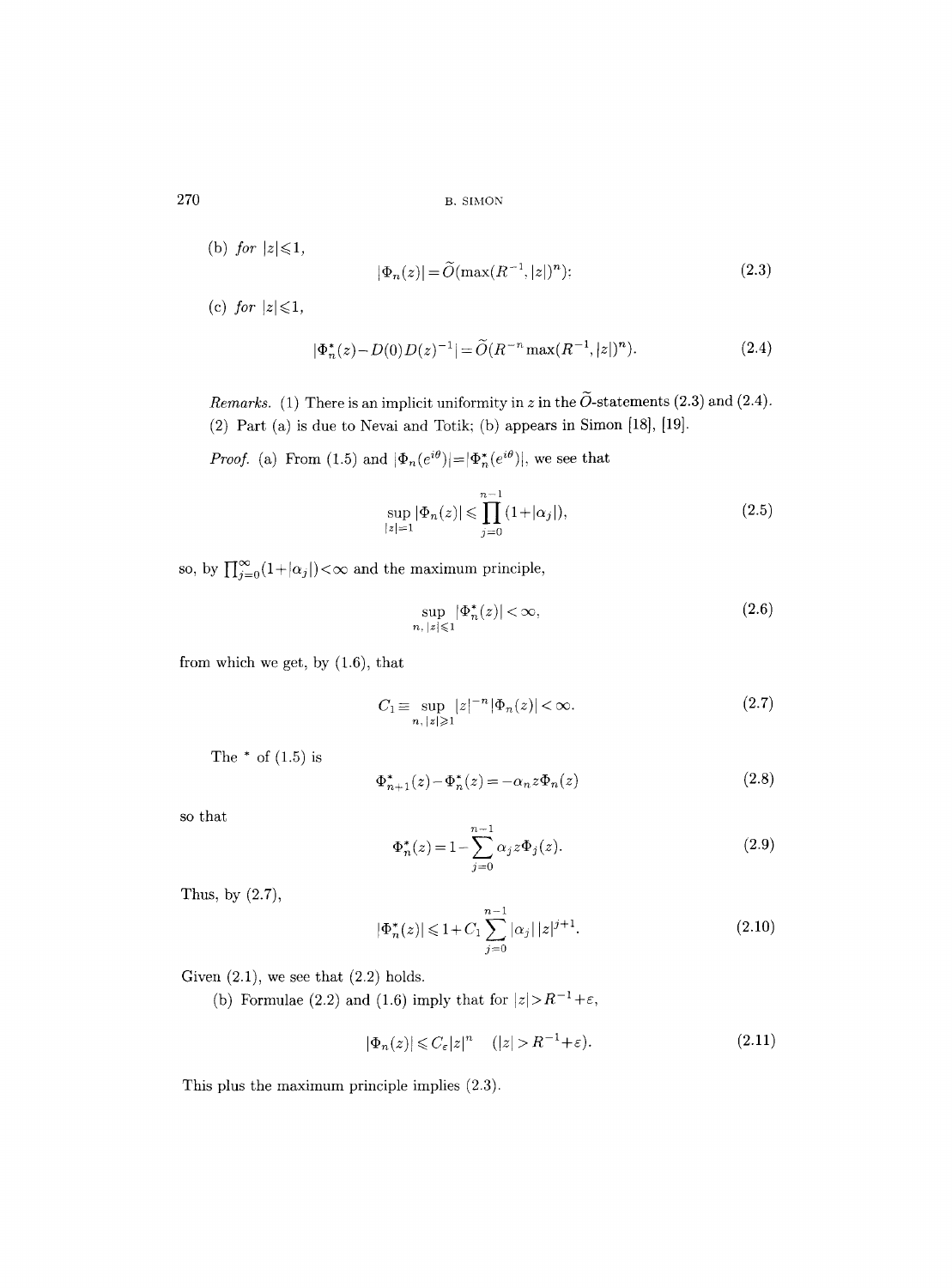(b) *for*  $|z| \leq 1$ ,

$$
|\Phi_n(z)| = \widetilde{O}(\max(R^{-1}, |z|)^n); \tag{2.3}
$$

(c) *for*  $|z| \leq 1$ ,

$$
|\Phi_n^*(z) - D(0)D(z)^{-1}| = \widetilde{O}(R^{-n}\max(R^{-1},|z|)^n). \tag{2.4}
$$

*Remarks.* (1) There is an implicit uniformity in z in the  $\tilde{O}$ -statements (2.3) and (2.4). (2) Part (a) is due to Nevai and Totik; (b) appears in Simon [18], [19].

*Proof.* (a) From (1.5) and  $|\Phi_n(e^{i\theta})| = |\Phi_n^*(e^{i\theta})|$ , we see that

$$
\sup_{|z|=1} |\Phi_n(z)| \leq \prod_{j=0}^{n-1} (1+|\alpha_j|),\tag{2.5}
$$

so, by  $\prod_{j=0}^{\infty} (1+|\alpha_j|) < \infty$  and the maximum principle,

$$
\sup_{n, |z| \le 1} |\Phi_n^*(z)| < \infty,\tag{2.6}
$$

from which we get, by (1.6), that

$$
C_1 \equiv \sup_{n, \, |z| \ge 1} |z|^{-n} |\Phi_n(z)| < \infty. \tag{2.7}
$$

The  $*$  of  $(1.5)$  is

$$
\Phi_{n+1}^*(z) - \Phi_n^*(z) = -\alpha_n z \Phi_n(z)
$$
\n(2.8)

so that

$$
\Phi_n^*(z) = 1 - \sum_{j=0}^{n-1} \alpha_j z \Phi_j(z).
$$
 (2.9)

Thus, by (2.7),

$$
|\Phi_n^*(z)| \le 1 + C_1 \sum_{j=0}^{n-1} |\alpha_j| |z|^{j+1}.
$$
 (2.10)

Given  $(2.1)$ , we see that  $(2.2)$  holds.

(b) Formulae (2.2) and (1.6) imply that for  $|z| > R^{-1} + \varepsilon$ ,

$$
|\Phi_n(z)| \leqslant C_{\varepsilon} |z|^n \quad (|z| > R^{-1} + \varepsilon). \tag{2.11}
$$

This plus the maximum principle implies (2.3).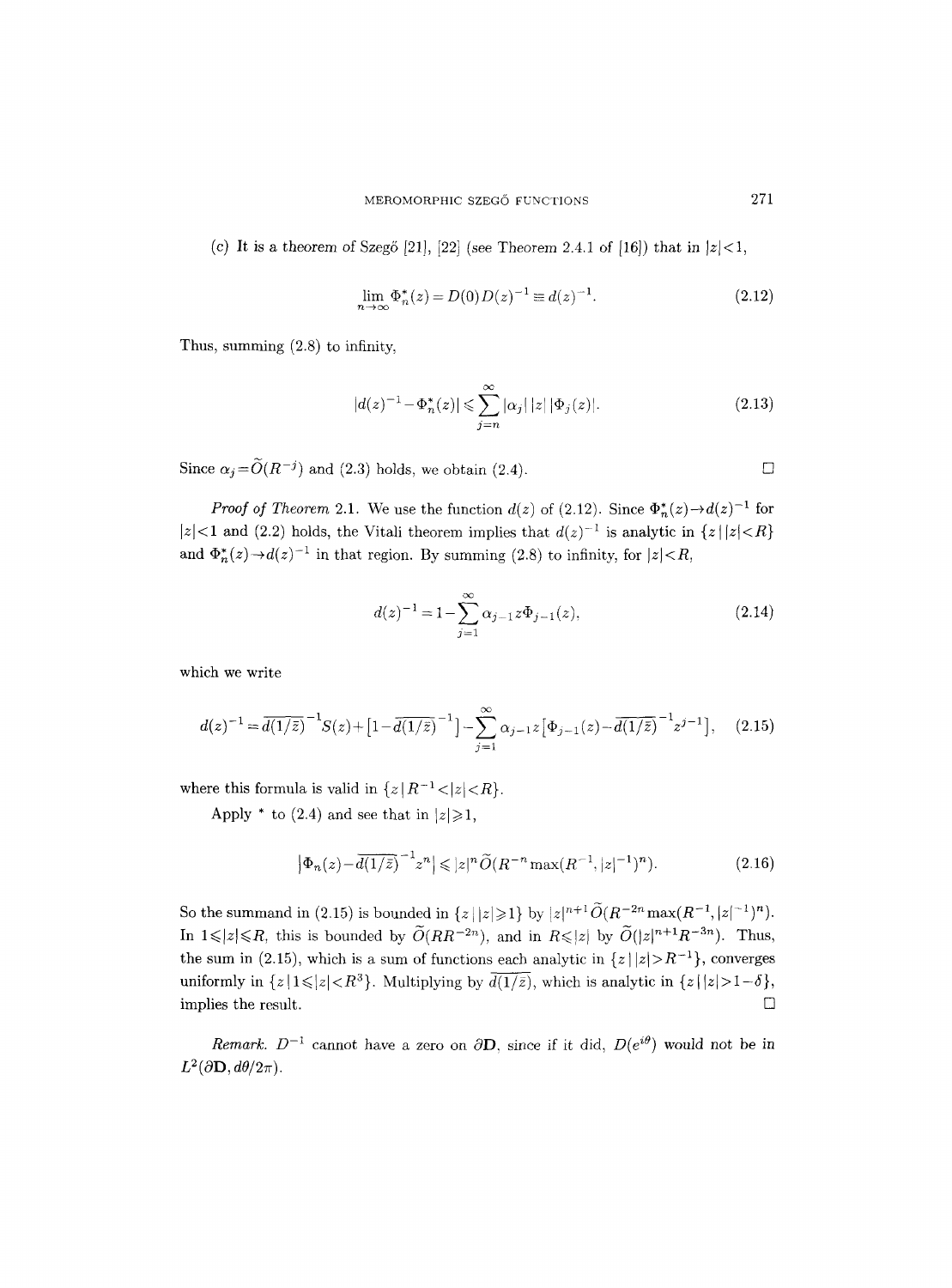(c) It is a theorem of Szegő [21], [22] (see Theorem 2.4.1 of [16]) that in  $|z| < 1$ ,

$$
\lim_{n \to \infty} \Phi_n^*(z) = D(0)D(z)^{-1} \equiv d(z)^{-1}.
$$
\n(2.12)

Thus, summing (2.8) to infinity,

$$
|d(z)^{-1} - \Phi_n^*(z)| \leq \sum_{j=n}^{\infty} |\alpha_j| \, |z| \, |\Phi_j(z)|. \tag{2.13}
$$

Since  $\alpha_j = \widetilde{O}(R^{-j})$  and (2.3) holds, we obtain (2.4).

*Proof of Theorem 2.1.* We use the function  $d(z)$  of (2.12). Since  $\Phi_n^*(z) \rightarrow d(z)^{-1}$  for  $|z|$ <1 and (2.2) holds, the Vitali theorem implies that  $d(z)^{-1}$  is analytic in  $\{z \mid |z| < R\}$ and  $\Phi_n^*(z) \rightarrow d(z)^{-1}$  in that region. By summing (2.8) to infinity, for  $|z| < R$ ,

$$
d(z)^{-1} = 1 - \sum_{j=1}^{\infty} \alpha_{j-1} z \Phi_{j-1}(z),
$$
 (2.14)

which we write

$$
d(z)^{-1} = \overline{d(1/\overline{z})}^{-1} S(z) + [1 - \overline{d(1/\overline{z})}^{-1}] - \sum_{j=1}^{\infty} \alpha_{j-1} z [\Phi_{j-1}(z) - \overline{d(1/\overline{z})}^{-1} z^{j-1}], \quad (2.15)
$$

where this formula is valid in  $\{z | R^{-1} < |z| < R\}.$ 

Apply  $*$  to (2.4) and see that in  $|z|\geqslant1$ ,

$$
\left|\Phi_n(z) - \overline{d(1/\bar{z})}^{-1} z^n\right| \leqslant |z|^n \widetilde{O}(R^{-n} \max(R^{-1}, |z|^{-1})^n). \tag{2.16}
$$

So the summand in (2.15) is bounded in  $\{z \mid |z| \geq 1\}$  by  $|z|^{n+1} \widetilde{O}(R^{-2n} \max(R^{-1}, |z|^{-1})^n)$ . In  $1 \leq |z| \leq R$ , this is bounded by  $\widetilde{O}(RR^{-2n})$ , and in  $R \leq |z|$  by  $\widetilde{O}(|z|^{n+1}R^{-3n})$ . Thus, the sum in (2.15), which is a sum of functions each analytic in  $\{z \mid |z| > R^{-1}\}$ , converges uniformly in  $\{z \mid 1 \leq |z| < R^3\}$ . Multiplying by  $\overline{d(1/\overline{z})}$ , which is analytic in  $\{z \mid |z| > 1-\delta\}$ , implies the result.  $\Box$ 

*Remark.*  $D^{-1}$  cannot have a zero on  $\partial$ **D**, since if it did,  $D(e^{i\theta})$  would not be in  $L^2(\partial \mathbf{D}, d\theta/2\pi)$ .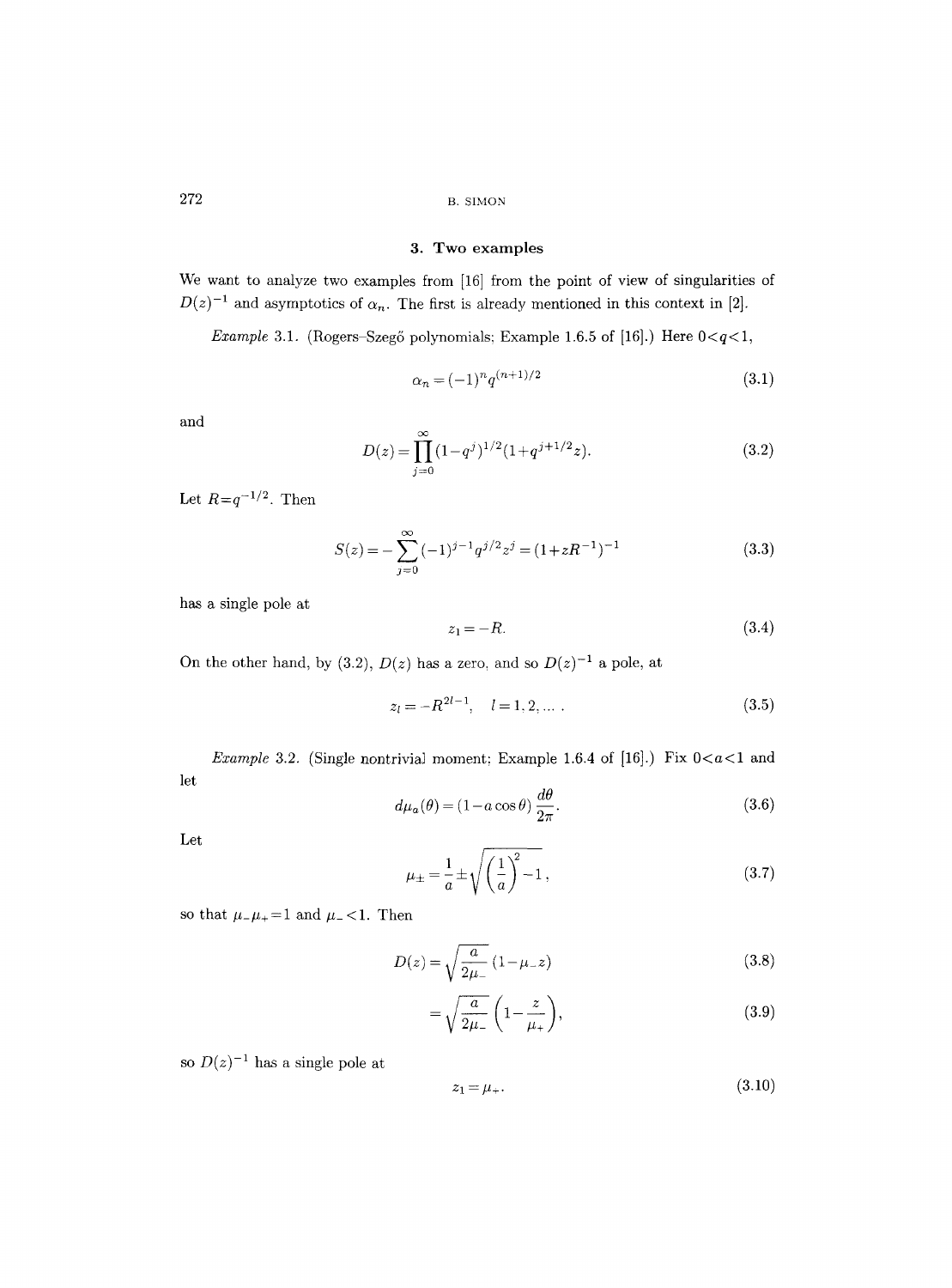### **3. Two examples**

We want to analyze two examples from [16] from the point of view of singularities of  $D(z)^{-1}$  and asymptotics of  $\alpha_n$ . The first is already mentioned in this context in [2].

*Example 3.1.* (Rogers-Szegő polynomials; Example 1.6.5 of [16].) Here  $0 < q < 1$ ,

$$
\alpha_n = (-1)^n q^{(n+1)/2} \tag{3.1}
$$

and

$$
D(z) = \prod_{j=0}^{\infty} (1 - q^j)^{1/2} (1 + q^{j+1/2} z).
$$
 (3.2)

Let  $R=q^{-1/2}$ . Then

$$
S(z) = -\sum_{j=0}^{\infty} (-1)^{j-1} q^{j/2} z^j = (1 + zR^{-1})^{-1}
$$
 (3.3)

has a single pole at

$$
z_1 = -R.\t\t(3.4)
$$

On the other hand, by (3.2),  $D(z)$  has a zero, and so  $D(z)^{-1}$  a pole, at

$$
z_l = -R^{2l-1}, \quad l = 1, 2, \dots \tag{3.5}
$$

let *Example 3.2.* (Single nontrivial moment; Example 1.6.4 of [16].) Fix  $0 < a < 1$  and

$$
d\mu_a(\theta) = (1 - a\cos\theta) \frac{d\theta}{2\pi}.
$$
\n(3.6)

Let

$$
\mu_{\pm} = \frac{1}{a} \pm \sqrt{\left(\frac{1}{a}\right)^2 - 1},\tag{3.7}
$$

so that  $\mu_-\mu_+ = 1$  and  $\mu_- < 1$ . Then

$$
D(z) = \sqrt{\frac{a}{2\mu_{-}}}(1 - \mu_{-}z)
$$
\n(3.8)

$$
=\sqrt{\frac{a}{2\mu_{-}}}\left(1-\frac{z}{\mu_{+}}\right),\tag{3.9}
$$

so  $D(z)^{-1}$  has a single pole at

$$
z_1 = \mu_+.\tag{3.10}
$$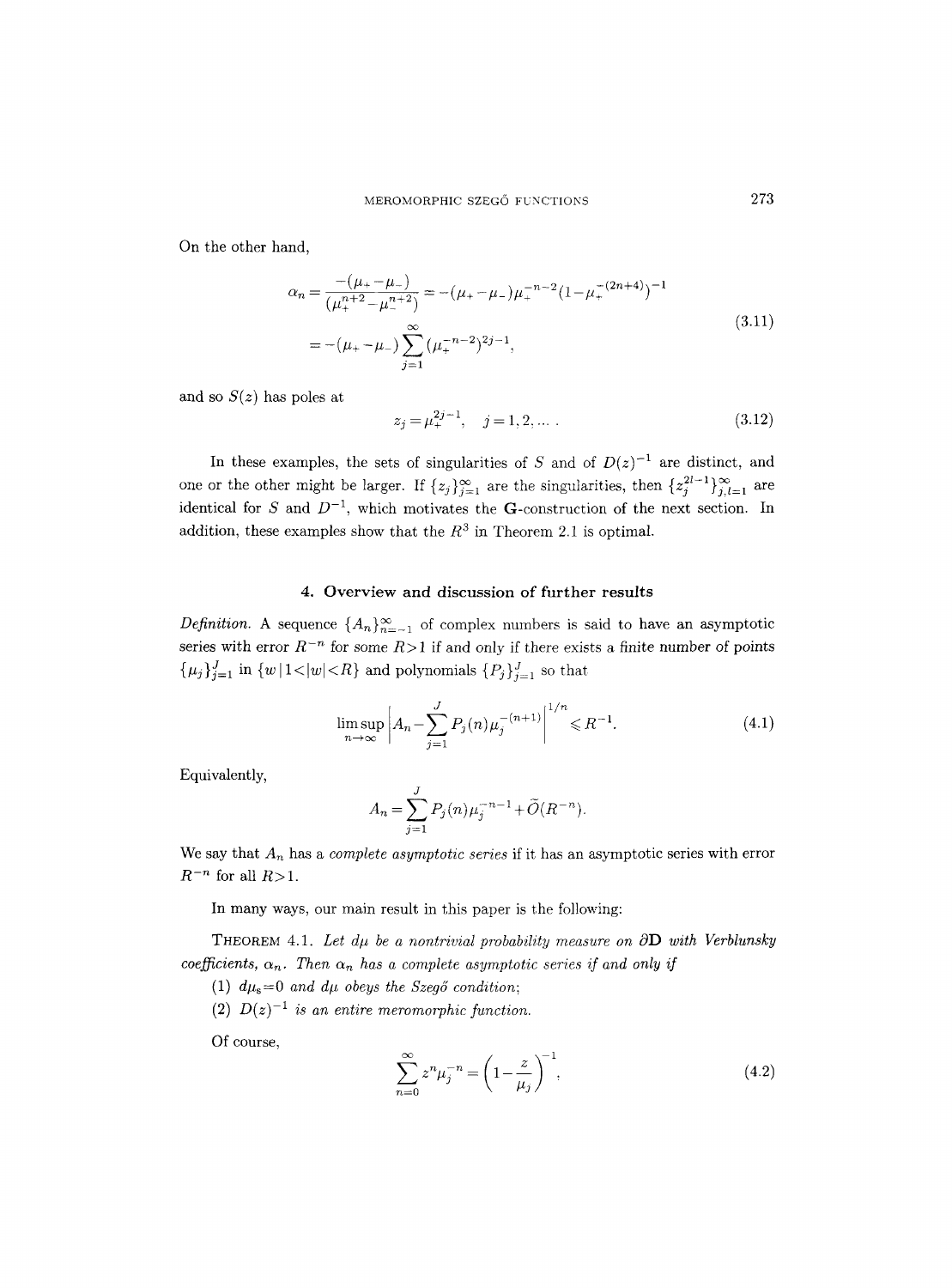On the other hand,

$$
\alpha_n = \frac{- (\mu_+ - \mu_-)}{(\mu_+^{n+2} - \mu_-^{n+2})} = -(\mu_+ - \mu_-)\mu_+^{-n-2} (1 - \mu_+^{-(2n+4)})^{-1}
$$
  
= -(\mu\_+ - \mu\_-) \sum\_{j=1}^{\infty} (\mu\_+^{-n-2})^{2j-1}, (3.11)

and so  $S(z)$  has poles at

$$
z_j = \mu_+^{2j-1}, \quad j = 1, 2, \dots \,. \tag{3.12}
$$

In these examples, the sets of singularities of S and of  $D(z)^{-1}$  are distinct, and one or the other might be larger. If  $\{z_j\}_{j=1}^{\infty}$  are the singularities, then  $\{z_j^{2l-1}\}_{j,l=1}^{\infty}$  are identical for S and  $D^{-1}$ , which motivates the G-construction of the next section. In addition, these examples show that the  $R^3$  in Theorem 2.1 is optimal.

#### 4. Overview and discussion of further results

*Definition.* A sequence  $\{A_n\}_{n=-1}^{\infty}$  of complex numbers is said to have an asymptotic series with error  $R^{-n}$  for some  $R>1$  if and only if there exists a finite number of points  $\{\mu_j\}_{j=1}^J$  in  $\{w \mid 1 < |w| < R\}$  and polynomials  $\{P_j\}_{j=1}^J$  so that

$$
\limsup_{n \to \infty} \left| A_n - \sum_{j=1}^J P_j(n) \mu_j^{-(n+1)} \right|^{1/n} \leq R^{-1}.
$$
 (4.1)

Equivalently,

$$
A_n = \sum_{j=1}^{J} P_j(n) \mu_j^{-n-1} + \tilde{O}(R^{-n})
$$

We say that  $A_n$  has a *complete asymptotic series* if it has an asymptotic series with error  $R^{-n}$  for all  $R > 1$ .

In many ways, our main result in this paper is the following:

THEOREM 4.1. Let  $d\mu$  be a nontrivial probability measure on  $\partial \mathbf{D}$  with Verblunsky *coefficients,*  $\alpha_n$ . Then  $\alpha_n$  has a complete asymptotic series if and only if

- (1)  $d\mu_s = 0$  *and*  $d\mu$  *obeys the Szegő condition*;
- (2)  $D(z)^{-1}$  *is an entire meromorphic function.*

Of course,

$$
\sum_{n=0}^{\infty} z^n \mu_j^{-n} = \left(1 - \frac{z}{\mu_j}\right)^{-1},\tag{4.2}
$$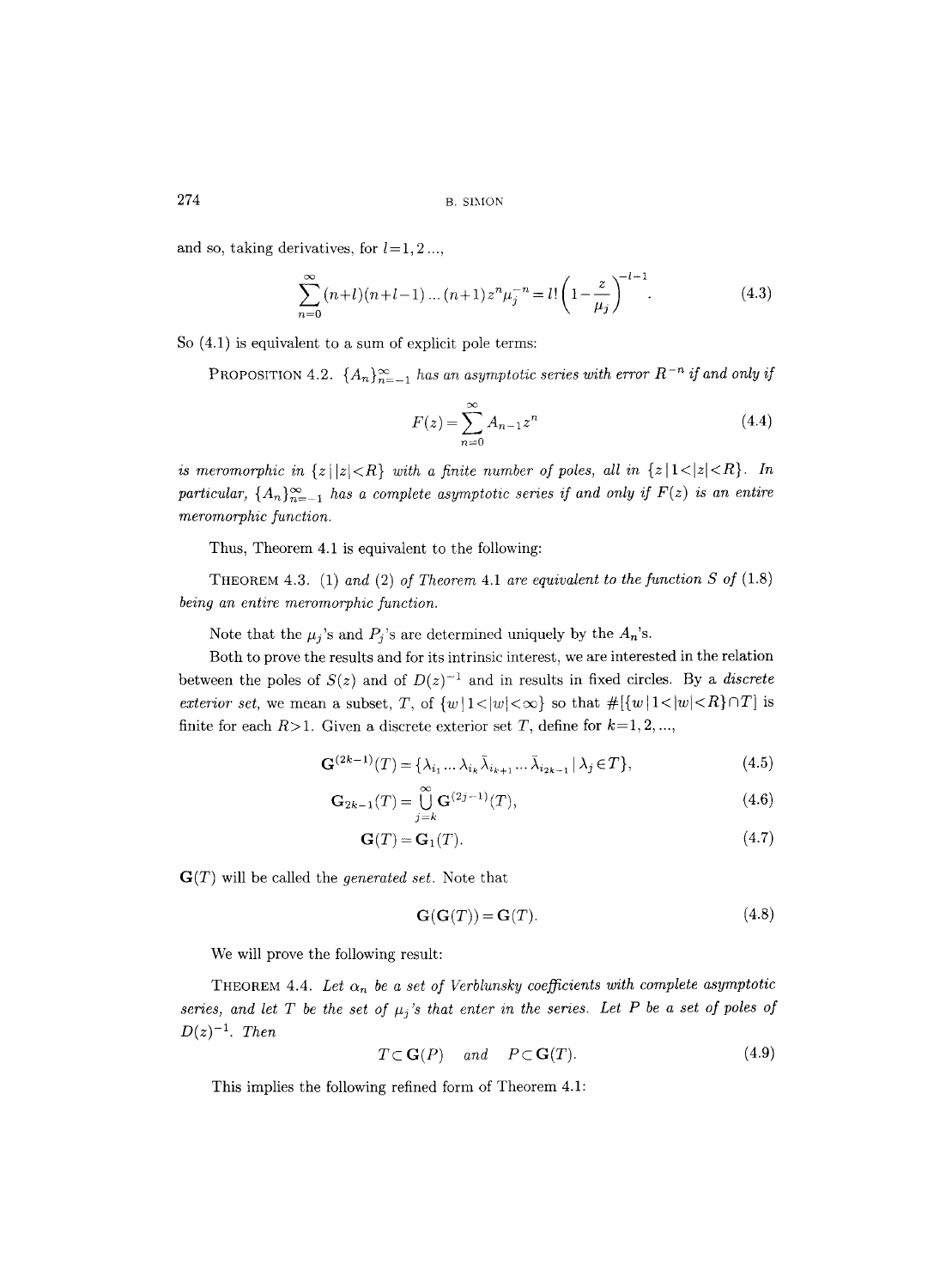and so, taking derivatives, for  $l=1, 2, \ldots$ 

$$
\sum_{n=0}^{\infty} (n+l)(n+l-1)\dots(n+1)z^n\mu_j^{-n} = l!\left(1 - \frac{z}{\mu_j}\right)^{-l-1}.
$$
 (4.3)

So (4.1) is equivalent to a sum of explicit pole terms:

**PROPOSITION** 4.2.  $\{A_n\}_{n=-1}^{\infty}$  has an asymptotic series with error  $R^{-n}$  if and only if

$$
F(z) = \sum_{n=0}^{\infty} A_{n-1} z^n
$$
\n(4.4)

*is meromorphic in*  $\{z \mid |z| < R\}$  with a finite number of poles, all in  $\{z \mid 1 < |z| < R\}$ . In particular,  $\{A_n\}_{n=-1}^{\infty}$  *has a complete asymptotic series if and only if*  $F(z)$  *is an entire meromorphic function.* 

Thus, Theorem 4.1 is equivalent to the following:

THEOREM 4.3. (1) *and* (2) *of Theorem* 4.1 *are equivalent to the function S of* (1.8) *being an entire meromorphic function.* 

Note that the  $\mu_j$ 's and  $P_j$ 's are determined uniquely by the  $A_n$ 's.

Both to prove the results and for its intrinsic interest, we are interested in the relation between the poles of  $S(z)$  and of  $D(z)^{-1}$  and in results in fixed circles. By a *discrete exterior set, we mean a subset, T, of*  $\{w | 1 < |w| < \infty\}$  *so that*  $\#[\{w | 1 < |w| < R\} \cap T]$  *is* finite for each  $R>1$ . Given a discrete exterior set T, define for  $k=1, 2, ...,$ 

$$
\mathbf{G}^{(2k-1)}(T) = \{\lambda_{i_1} \dots \lambda_{i_k} \bar{\lambda}_{i_{k+1}} \dots \bar{\lambda}_{i_{2k-1}} \,|\, \lambda_j \in T\},\tag{4.5}
$$

$$
\mathbf{G}_{2k-1}(T) = \bigcup_{j=k}^{\infty} \mathbf{G}^{(2j-1)}(T),\tag{4.6}
$$

$$
\mathbf{G}(T) = \mathbf{G}_1(T). \tag{4.7}
$$

G(T) will be called the *generated set.* Note that

$$
\mathbf{G}(\mathbf{G}(T)) = \mathbf{G}(T). \tag{4.8}
$$

We will prove the following result:

THEOREM 4.4. Let  $\alpha_n$  be a set of Verblunsky coefficients with complete asymptotic *series, and let T be the set of*  $\mu_j$ *'s that enter in the series. Let P be a set of poles of*  $D(z)^{-1}$ . *Then* 

$$
T \subset \mathbf{G}(P) \quad \text{and} \quad P \subset \mathbf{G}(T). \tag{4.9}
$$

This implies the following refined form of Theorem 4.1: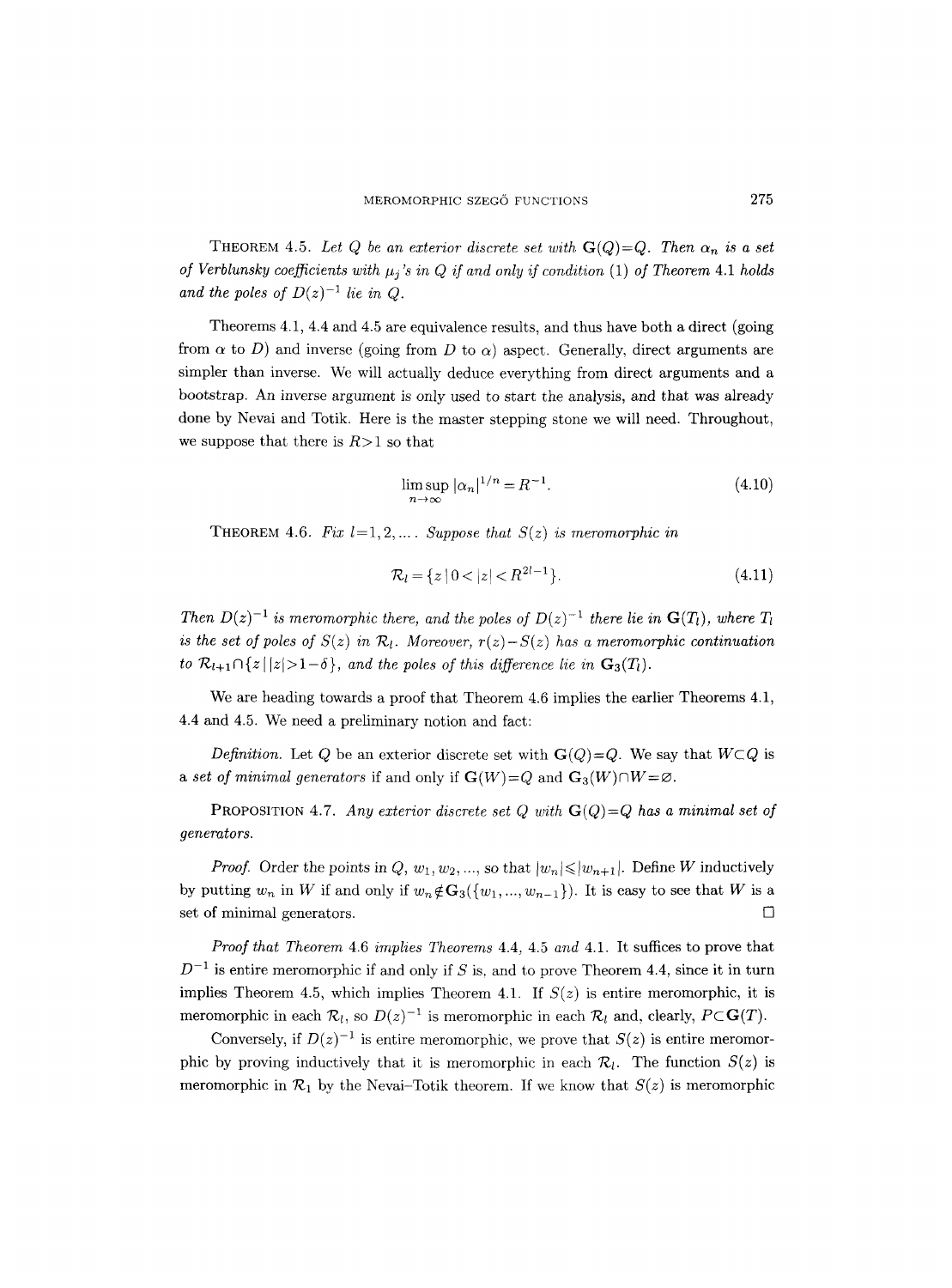THEOREM 4.5. Let Q be an exterior discrete set with  $\mathbf{G}(Q)=Q$ . Then  $\alpha_n$  is a set *of Verblunsky coefficients with*  $\mu_i$ *'s in Q if and only if condition* (1) *of Theorem 4.1 holds* and the poles of  $D(z)^{-1}$  lie in Q.

Theorems 4.1, 4.4 and 4.5 are equivalence results, and thus have both a direct (going from  $\alpha$  to D) and inverse (going from D to  $\alpha$ ) aspect. Generally, direct arguments are simpler than inverse. We will actually deduce everything from direct arguments and a bootstrap. An inverse argument is only used to start the analysis, and that was already done by Nevai and Totik. Here is the master stepping stone we will need. Throughout, we suppose that there is  $R>1$  so that

$$
\limsup_{n \to \infty} |\alpha_n|^{1/n} = R^{-1}.
$$
\n(4.10)

**THEOREM 4.6.** Fix  $l=1, 2, ...$  *Suppose that*  $S(z)$  *is meromorphic in* 

$$
\mathcal{R}_l = \{ z \mid 0 < |z| < R^{2l-1} \}. \tag{4.11}
$$

*Then*  $D(z)^{-1}$  *is meromorphic there, and the poles of*  $D(z)^{-1}$  *there lie in*  $\mathbf{G}(T_1)$ *, where*  $T_1$ *is the set of poles of*  $S(z)$  *in*  $\mathcal{R}_l$ *. Moreover, r(z)-S(z) has a meromorphic continuation to*  $\mathcal{R}_{l+1} \cap \{z \mid |z| > 1-\delta\}$ , and the poles of this difference lie in  $\mathbf{G}_3(T_l)$ .

We are heading towards a proof that Theorem 4.6 implies the earlier Theorems 4.1, 4.4 and 4.5. We need a preliminary notion and fact:

*Definition.* Let Q be an exterior discrete set with  $\mathbf{G}(Q) = Q$ . We say that  $W \subset Q$  is *a set of minimal generators* if and only if  $\mathbf{G}(W) = Q$  and  $\mathbf{G}_3(W) \cap W = \emptyset$ .

**PROPOSITION 4.7.** *Any exterior discrete set Q with*  $\mathbf{G}(Q) = Q$  *has a minimal set of generators.* 

*Proof.* Order the points in  $Q, w_1, w_2, \dots$ , so that  $|w_n| \leq |w_{n+1}|$ . Define W inductively by putting  $w_n$  in W if and only if  $w_n \notin G_3({w_1, ..., w_{n-1}})$ . It is easy to see that W is a set of minimal generators.  $\Box$ 

*Proof that Theorem* 4.6 *implies Theorems* 4.4, 4.5 *and* 4.1. It suffices to prove that  $D^{-1}$  is entire meromorphic if and only if S is, and to prove Theorem 4.4, since it in turn implies Theorem 4.5, which implies Theorem 4.1. If  $S(z)$  is entire meromorphic, it is meromorphic in each  $\mathcal{R}_i$ , so  $D(z)^{-1}$  is meromorphic in each  $\mathcal{R}_i$  and, clearly,  $P \subset \mathbf{G}(T)$ .

Conversely, if  $D(z)^{-1}$  is entire meromorphic, we prove that  $S(z)$  is entire meromorphic by proving inductively that it is meromorphic in each  $\mathcal{R}_l$ . The function  $S(z)$  is meromorphic in  $\mathcal{R}_1$  by the Nevai-Totik theorem. If we know that  $S(z)$  is meromorphic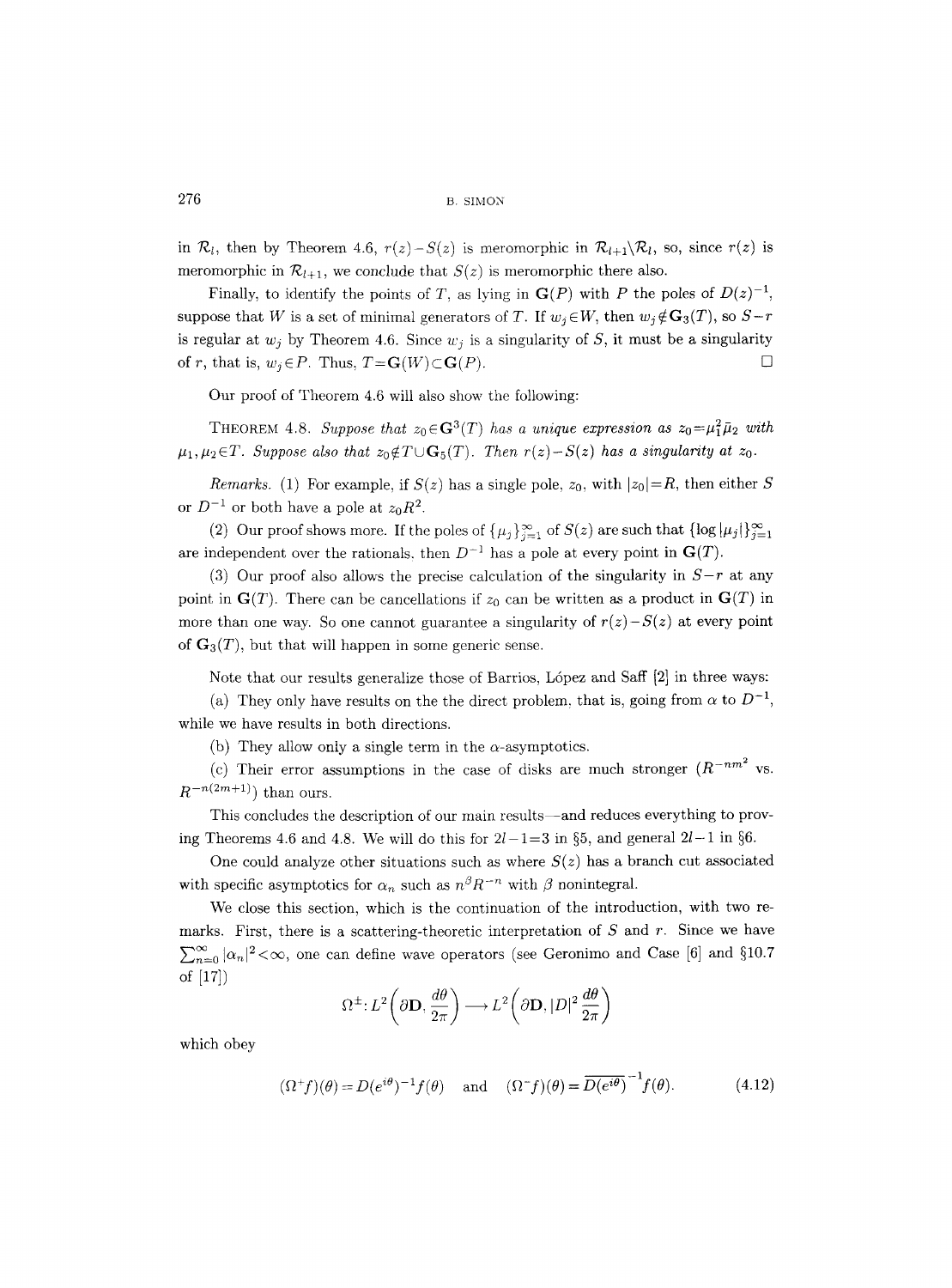in  $\mathcal{R}_l$ , then by Theorem 4.6,  $r(z)-S(z)$  is meromorphic in  $\mathcal{R}_{l+1}\setminus\mathcal{R}_l$ , so, since  $r(z)$  is meromorphic in  $\mathcal{R}_{l+1}$ , we conclude that  $S(z)$  is meromorphic there also.

Finally, to identify the points of T, as lying in  $\mathbf{G}(P)$  with P the poles of  $D(z)^{-1}$ , suppose that W is a set of minimal generators of T. If  $w_i \in W$ , then  $w_i \notin G_3(T)$ , so  $S-r$ is regular at  $w_j$  by Theorem 4.6. Since  $w_j$  is a singularity of S, it must be a singularity of r, that is,  $w_j \in P$ . Thus,  $T = \mathbf{G}(W) \subset \mathbf{G}(P)$ .

Our proof of Theorem 4.6 will also show the following:

THEOREM 4.8. *Suppose that*  $z_0 \in \mathbf{G}^3(T)$  *has a unique expression as*  $z_0 = \mu_1^2 \bar{\mu}_2$  with  $\mu_1, \mu_2 \in T$ . Suppose also that  $z_0 \notin T \cup \mathbf{G}_5(T)$ . Then  $r(z) - S(z)$  has a singularity at  $z_0$ .

*Remarks.* (1) For example, if  $S(z)$  has a single pole,  $z_0$ , with  $|z_0|=R$ , then either S or  $D^{-1}$  or both have a pole at  $z_0R^2$ .

(2) Our proof shows more. If the poles of  $\{\mu_j\}_{j=1}^{\infty}$  of  $S(z)$  are such that  $\{\log |\mu_j|\}_{j=1}^{\infty}$ are independent over the rationals, then  $D^{-1}$  has a pole at every point in  $\mathbf{G}(T)$ .

(3) Our proof also allows the precise calculation of the singularity in  $S-r$  at any point in  $\mathbf{G}(T)$ . There can be cancellations if  $z_0$  can be written as a product in  $\mathbf{G}(T)$  in more than one way. So one cannot guarantee a singularity of  $r(z) - S(z)$  at every point of  $\mathbf{G}_3(T)$ , but that will happen in some generic sense.

Note that our results generalize those of Barrios, López and Saff [2] in three ways:

(a) They only have results on the the direct problem, that is, going from  $\alpha$  to  $D^{-1}$ , while we have results in both directions.

(b) They allow only a single term in the  $\alpha$ -asymptotics.

(c) Their error assumptions in the case of disks are much stronger  $(R^{-nm^2}$  vs.  $R^{-n(2m+1)}$ ) than ours.

This concludes the description of our main results--and reduces everything to proving Theorems 4.6 and 4.8. We will do this for  $2l-1=3$  in §5, and general  $2l-1$  in §6.

One could analyze other situations such as where  $S(z)$  has a branch cut associated with specific asymptotics for  $\alpha_n$  such as  $n^{\beta}R^{-n}$  with  $\beta$  nonintegral.

We close this section, which is the continuation of the introduction, with two remarks. First, there is a scattering-theoretic interpretation of  $S$  and  $r$ . Since we have  $\sum_{n=0}^{\infty} |\alpha_n|^2 < \infty$ , one can define wave operators (see Geronimo and Case [6] and §10.7 of [17])

$$
\Omega^{\pm}: L^2\left(\partial \mathbf{D}, \frac{d\theta}{2\pi}\right) \longrightarrow L^2\left(\partial \mathbf{D}, |D|^2 \frac{d\theta}{2\pi}\right)
$$

which obey

$$
(\Omega^+ f)(\theta) = D(e^{i\theta})^{-1} f(\theta) \quad \text{and} \quad (\Omega^- f)(\theta) = \overline{D(e^{i\theta})}^{-1} f(\theta). \tag{4.12}
$$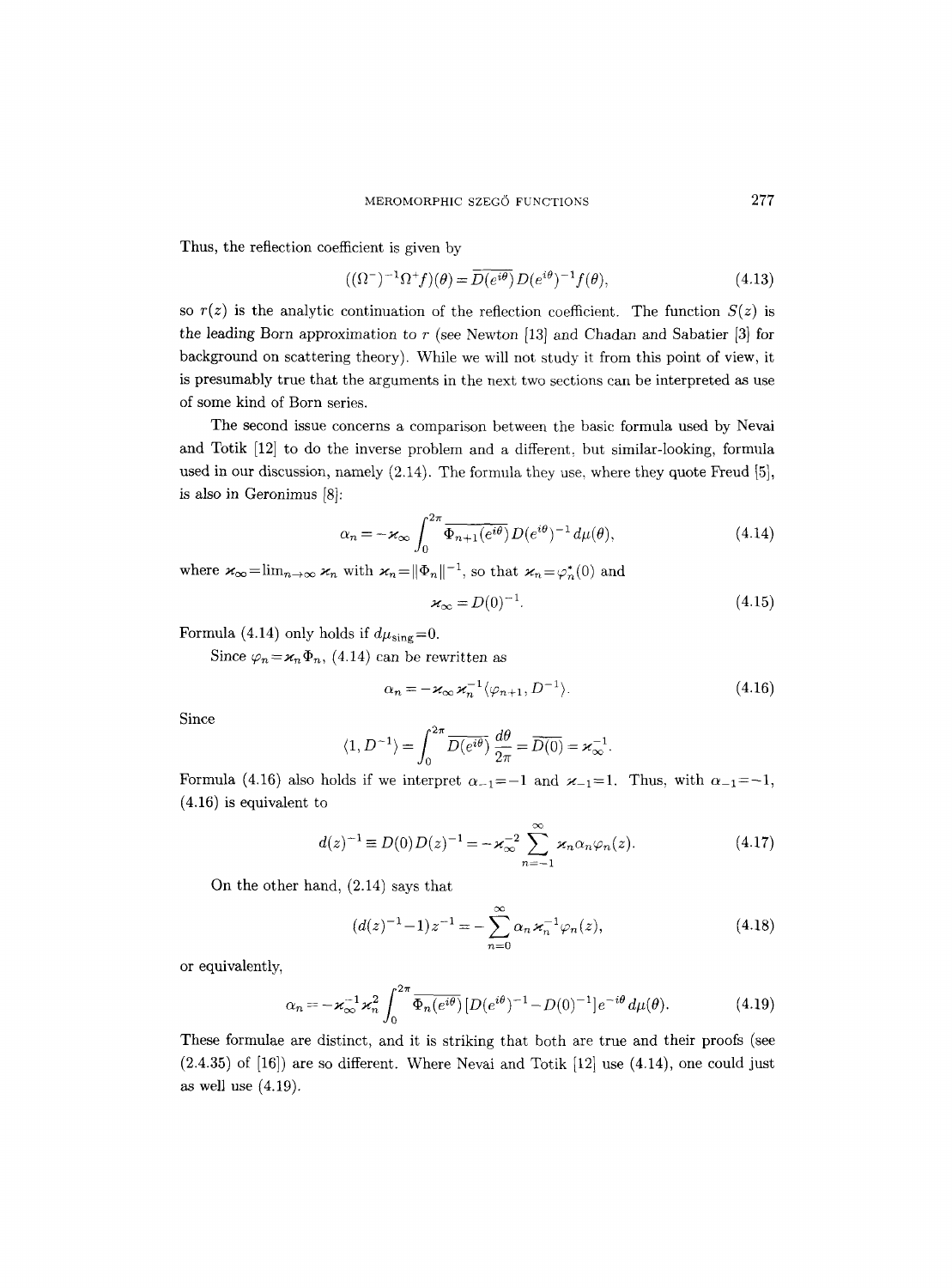Thus, the reflection coefficient is given by

$$
((\Omega^-)^{-1}\Omega^+f)(\theta) = \overline{D(e^{i\theta})}D(e^{i\theta})^{-1}f(\theta),\tag{4.13}
$$

so  $r(z)$  is the analytic continuation of the reflection coefficient. The function  $S(z)$  is the leading Born approximation to  $r$  (see Newton [13] and Chadan and Sabatier [3] for background on scattering theory). While we will not study it from this point of view, it is presumably true that the arguments in the next two sections can be interpreted as use of some kind of Born series.

The second issue concerns a comparison between the basic formula used by Nevai and Totik [12] to do the inverse problem and a different, but similar-looking, formula used in our discussion, namely  $(2.14)$ . The formula they use, where they quote Freud  $[5]$ , is also in Geronimus [8]:

$$
\alpha_n = -\varkappa_\infty \int_0^{2\pi} \overline{\Phi_{n+1}(e^{i\theta})} D(e^{i\theta})^{-1} d\mu(\theta), \tag{4.14}
$$

where  $\varkappa_{\infty} = \lim_{n \to \infty} \varkappa_n$  with  $\varkappa_n = ||\Phi_n||^{-1}$ , so that  $\varkappa_n = \varphi_n^*(0)$  and

$$
\varkappa_{\infty} = D(0)^{-1}.\tag{4.15}
$$

Formula (4.14) only holds if  $d\mu_{sing}=0$ .

Since  $\varphi_n = \varkappa_n \Phi_n$ , (4.14) can be rewritten as

$$
\alpha_n = -\varkappa_\infty \varkappa_n^{-1} \langle \varphi_{n+1}, D^{-1} \rangle. \tag{4.16}
$$

Since

$$
\langle 1, D^{-1} \rangle = \int_0^{2\pi} \overline{D(e^{i\theta})} \, \frac{d\theta}{2\pi} = \overline{D(0)} = \varkappa_{\infty}^{-1}.
$$

Formula (4.16) also holds if we interpret  $\alpha_{-1}=-1$  and  $\varkappa_{-1}=1$ . Thus, with  $\alpha_{-1}=-1$ , **(4.16)** is equivalent to

$$
d(z)^{-1} \equiv D(0)D(z)^{-1} = -\varkappa_{\infty}^{-2} \sum_{n=-1}^{\infty} \varkappa_n \alpha_n \varphi_n(z).
$$
 (4.17)

On the other hand, (2.14) says that

$$
(d(z)^{-1} - 1)z^{-1} = -\sum_{n=0}^{\infty} \alpha_n \varkappa_n^{-1} \varphi_n(z), \qquad (4.18)
$$

or equivalently,

$$
\alpha_n = -\varkappa_{\infty}^{-1} \varkappa_n^2 \int_0^{2\pi} \overline{\Phi_n(e^{i\theta})} \left[ D(e^{i\theta})^{-1} - D(0)^{-1} \right] e^{-i\theta} d\mu(\theta). \tag{4.19}
$$

These formulae are distinct, and it is striking that both are true and their proofs (see  $(2.4.35)$  of  $[16]$  are so different. Where Nevai and Totik  $[12]$  use  $(4.14)$ , one could just as well use (4.19).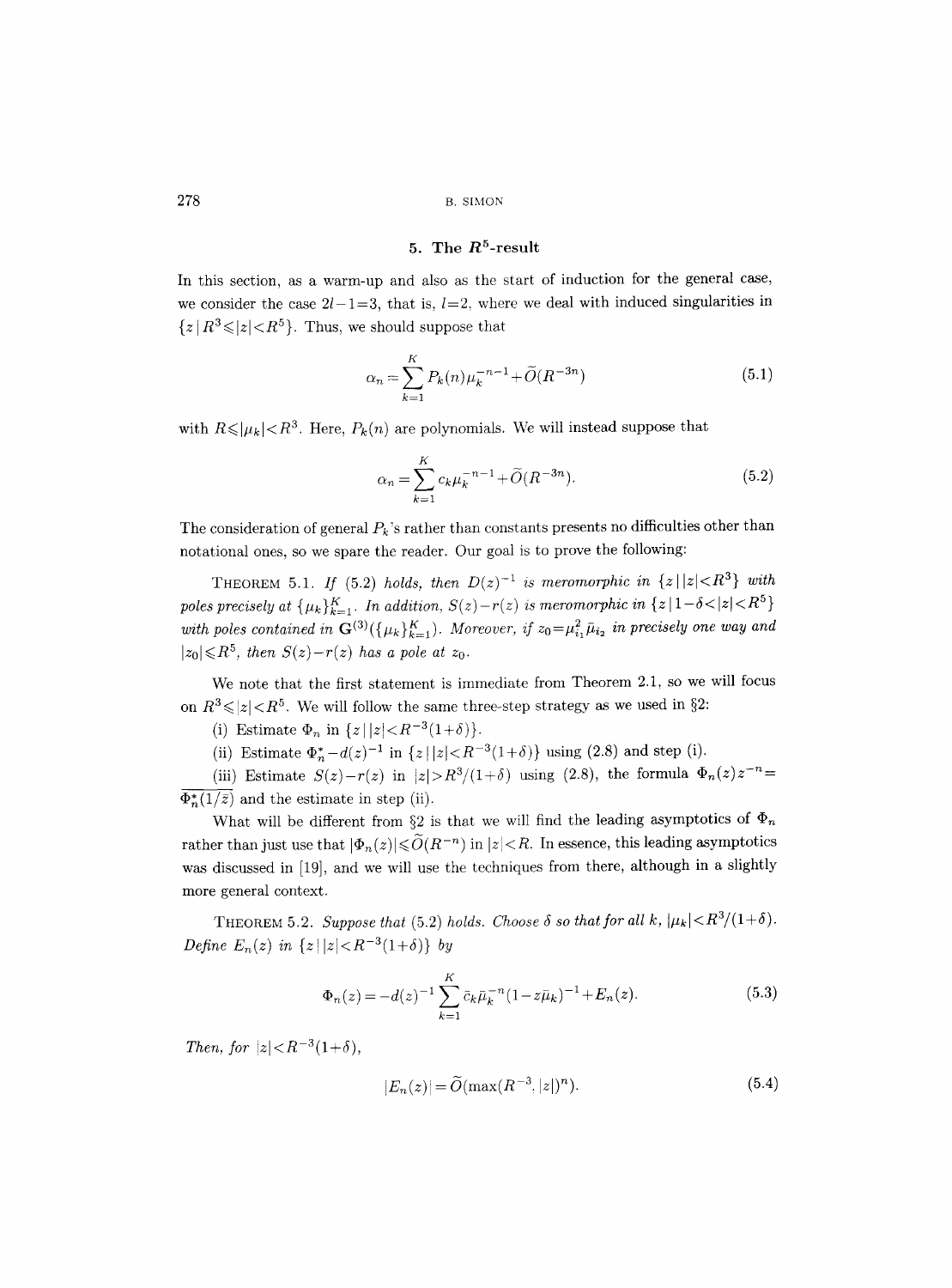#### 5. The  $R^5$ -result

In this section, as a warm-up and also as the start of induction for the general case, we consider the case  $2l-1=3$ , that is,  $l=2$ , where we deal with induced singularities in  $\{z | R^3 \le |z| < R^5\}$ . Thus, we should suppose that

$$
\alpha_n = \sum_{k=1}^{K} P_k(n) \mu_k^{-n-1} + \tilde{O}(R^{-3n})
$$
\n(5.1)

with  $R \leq |\mu_k| < R^3$ . Here,  $P_k(n)$  are polynomials. We will instead suppose that

$$
\alpha_n = \sum_{k=1}^{K} c_k \mu_k^{-n-1} + \widetilde{O}(R^{-3n}).
$$
\n(5.2)

The consideration of general  $P_k$ 's rather than constants presents no difficulties other than notational ones, so we spare the reader. Our goal is to prove the following:

THEOREM 5.1. *If* (5.2) *holds, then*  $D(z)^{-1}$  *is meromorphic in*  $\{z \mid |z| < R^3\}$  *with poles precisely at*  $\{\mu_k\}_{k=1}^K$ . In addition,  $S(z)-r(z)$  is meromorphic in  $\{z \mid 1-\delta \lt |z| \lt R^5\}$ with poles contained in  $\mathbf{G}^{(3)}(\{\mu_k\}_{k=1}^K)$ . Moreover, if  $z_0 = \mu_{i_1}^2 \bar{\mu}_{i_2}$  in precisely one way and  $|z_0| \le R^5$ , then  $S(z)-r(z)$  has a pole at  $z_0$ .

We note that the first statement is immediate from Theorem 2.1, so we will focus on  $R^3 \le |z| < R^5$ . We will follow the same three-step strategy as we used in §2:

(i) Estimate  $\Phi_n$  in  $\{z \mid |z| < R^{-3}(1+\delta)\}.$ 

(ii) Estimate  $\Phi_n^* - d(z)^{-1}$  in  $\{z \mid |z| < R^{-3}(1+\delta)\}$  using  $(2.8)$  and step (i).

(iii) Estimate  $S(z)-r(z)$  in  $|z|>R^3/(1+\delta)$  using (2.8), the formula  $\Phi_n(z)z^{-n}=$  $\Phi_n^*(1/\bar{z})$  and the estimate in step (ii).

What will be different from §2 is that we will find the leading asymptotics of  $\Phi_n$ rather than just use that  $|\Phi_n(z)| \leq \tilde{O}(R^{-n})$  in  $|z| < R$ . In essence, this leading asymptotics was discussed in [19], and we will use the techniques from there, although in a slightly more general context.

THEOREM 5.2. *Suppose that* (5.2) *holds. Choose*  $\delta$  *so that for all k,*  $|\mu_k| < R^3/(1+\delta)$ . *Define E<sub>n</sub>*(*z*) *in*  $\{z \mid |z| < R^{-3}(1+\delta)\}$  *by* 

$$
\Phi_n(z) = -d(z)^{-1} \sum_{k=1}^K \bar{c}_k \bar{\mu}_k^{-n} (1 - z \bar{\mu}_k)^{-1} + E_n(z).
$$
\n(5.3)

*Then, for*  $|z| < R^{-3}(1+\delta)$ ,

$$
|E_n(z)| = \tilde{O}(\max(R^{-3}, |z|)^n).
$$
 (5.4)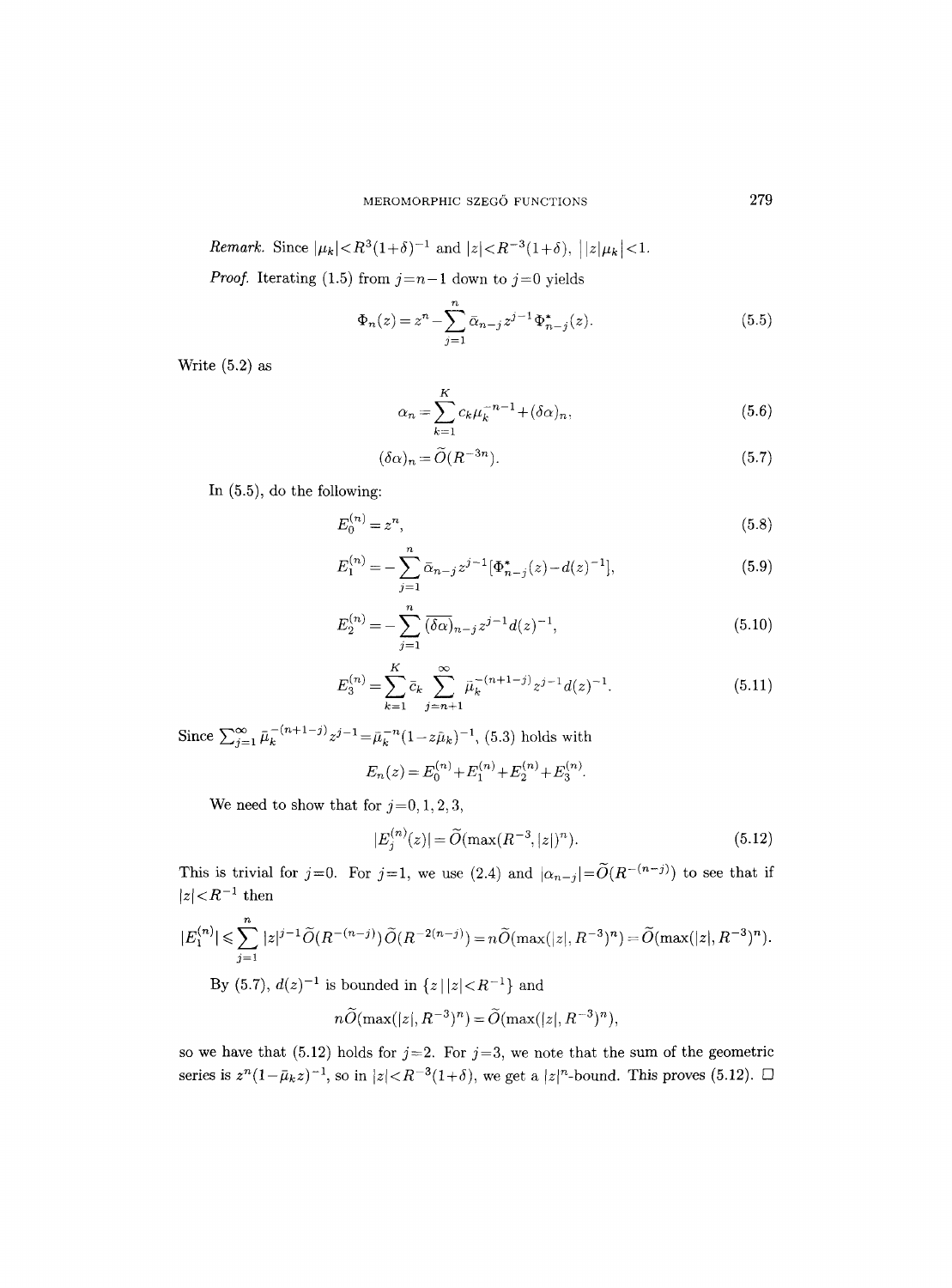*Remark.* Since  $|\mu_k| < R^3(1+\delta)^{-1}$  and  $|z| < R^{-3}(1+\delta)$ ,  $||z|\mu_k| < 1$ .

*Proof.* Iterating (1.5) from  $j=n-1$  down to  $j=0$  yields

$$
\Phi_n(z) = z^n - \sum_{j=1}^n \bar{\alpha}_{n-j} z^{j-1} \Phi_{n-j}^*(z).
$$
\n(5.5)

Write (5.2) as

$$
\alpha_n = \sum_{k=1}^K c_k \mu_k^{-n-1} + (\delta \alpha)_n, \tag{5.6}
$$

$$
(\delta \alpha)_n = \widetilde{O}(R^{-3n}).\tag{5.7}
$$

In (5.5), do the following:

$$
E_0^{(n)} = z^n,
$$
\n<sup>(5.8)</sup>

$$
E_1^{(n)} = -\sum_{j=1}^n \bar{\alpha}_{n-j} z^{j-1} [\Phi_{n-j}^*(z) - d(z)^{-1}], \tag{5.9}
$$

$$
E_2^{(n)} = -\sum_{j=1}^n \overline{(\delta \alpha)}_{n-j} z^{j-1} d(z)^{-1},\tag{5.10}
$$

$$
E_3^{(n)} = \sum_{k=1}^K \bar{c}_k \sum_{j=n+1}^\infty \bar{\mu}_k^{-(n+1-j)} z^{j-1} d(z)^{-1}.
$$
 (5.11)

Since  $\sum_{j=1}^{\infty} \bar{\mu}_k^{-(n+1-j)} z^{j-1} = \bar{\mu}_k^{-n} (1-z\bar{\mu}_k)^{-1}$ , (5.3) holds with  $E_n(z) = E_0^{(n)} + E_1^{(n)} + E_2^{(n)} + E_3^{(n)}$ .

$$
z_n(z) = z_0 + z_1 + z_2
$$

We need to show that for  $j=0, 1, 2, 3$ ,

$$
|E_j^{(n)}(z)| = \widetilde{O}(\max(R^{-3}, |z|)^n). \tag{5.12}
$$

This is trivial for  $j=0$ . For  $j=1$ , we use (2.4) and  $|\alpha_{n-j}|=\widetilde{O}(R^{-(n-j)})$  to see that if  $\vert z \vert \! < \! R^{-1}$  then

$$
|E_1^{(n)}| \leq \sum_{j=1}^n |z|^{j-1} \widetilde{O}(R^{-(n-j)}) \widetilde{O}(R^{-2(n-j)}) = n \widetilde{O}(\max(|z|, R^{-3})^n) = \widetilde{O}(\max(|z|, R^{-3})^n).
$$

By (5.7),  $d(z)^{-1}$  is bounded in  $\{z \mid |z| < R^{-1}\}$  and

$$
n\widetilde{O}(\max(|z|, R^{-3})^n) = \widetilde{O}(\max(|z|, R^{-3})^n),
$$

so we have that (5.12) holds for  $j=2$ . For  $j=3$ , we note that the sum of the geometric series is  $z^{n}(1-\bar{\mu}_k z)^{-1}$ , so in  $|z| < R^{-3}(1+\delta)$ , we get a  $|z|^{n}$ -bound. This proves (5.12).  $\Box$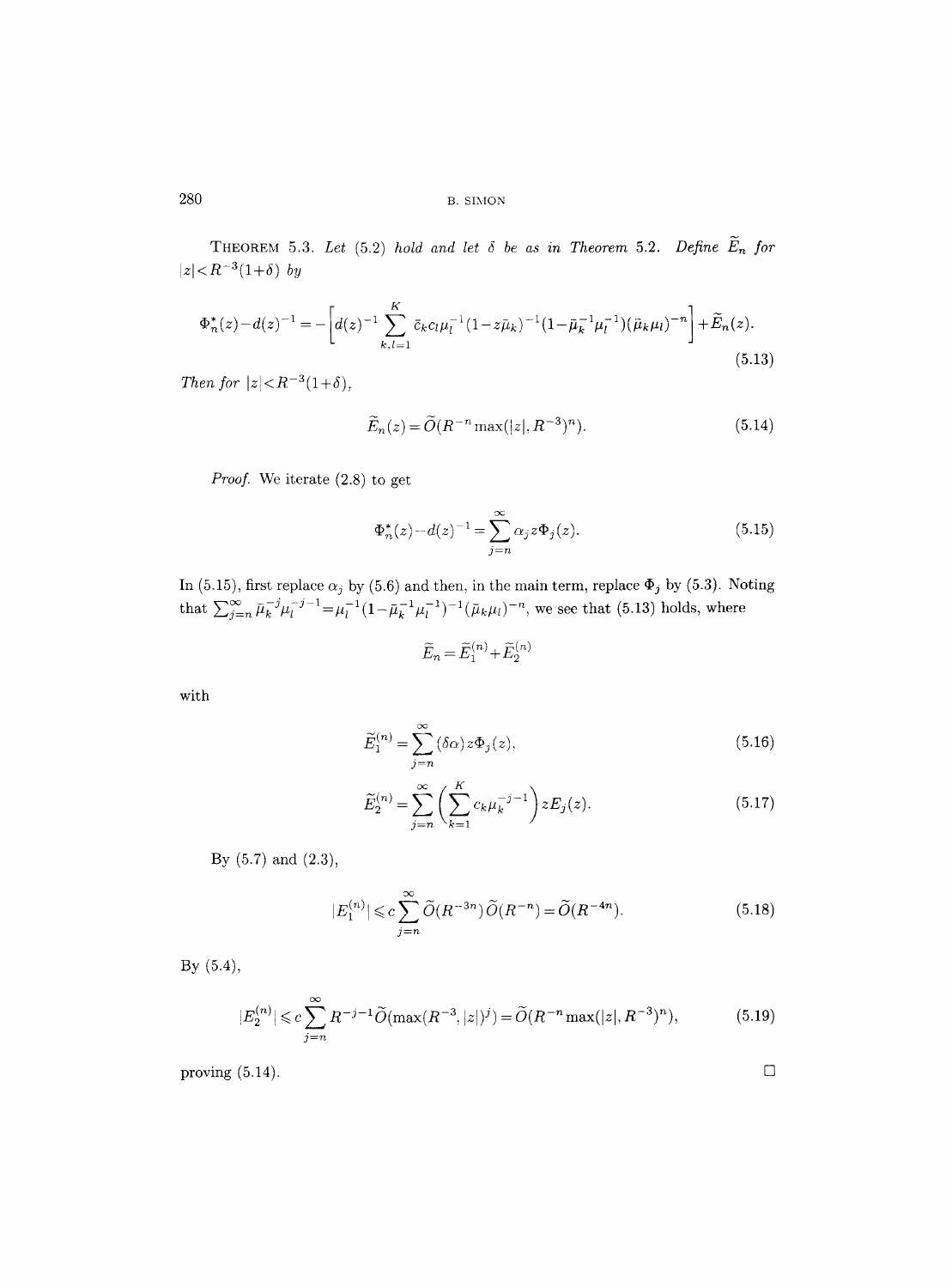THEOREM 5.3. Let  $(5.2)$  *hold and let*  $\delta$  *be as in Theorem 5.2. Define*  $\widetilde{E}_n$  for  $|z| < R^{-3}(1+\delta)$  *by* 

$$
\Phi_n^*(z) - d(z)^{-1} = - \left[ d(z)^{-1} \sum_{k,l=1}^K \bar{c}_k c_l \mu_l^{-1} (1 - z\bar{\mu}_k)^{-1} (1 - \bar{\mu}_k^{-1} \mu_l^{-1}) (\bar{\mu}_k \mu_l)^{-n} \right] + \widetilde{E}_n(z).
$$
\n(5.13)

*Then for*  $|z| < R^{-3}(1+\delta)$ ,

$$
\widetilde{E}_n(z) = \widetilde{O}(R^{-n} \max(|z|, R^{-3})^n). \tag{5.14}
$$

*Proof.* We iterate (2.8) to get

$$
\Phi_n^*(z) - d(z)^{-1} = \sum_{j=n}^{\infty} \alpha_j z \Phi_j(z).
$$
 (5.15)

In (5.15), first replace  $\alpha_j$  by (5.6) and then, in the main term, replace  $\Phi_j$  by (5.3). Noting that  $\sum_{i=n}^{\infty} \bar{\mu}_k^{-j} \mu_l^{-j-1} = \mu_l^{-1} (1 - \bar{\mu}_k^{-1} \mu_l^{-1})^{-1} (\bar{\mu}_k \mu_l)^{-n}$ , we see that (5.13) holds, where

$$
\widetilde{E}_n=\widetilde{E}_1^{(n)}\!+\!\widetilde{E}_2^{(n)}
$$

with

$$
\widetilde{E}_1^{(n)} = \sum_{j=n}^{\infty} (\delta \alpha) z \Phi_j(z),\tag{5.16}
$$

$$
\widetilde{E}_2^{(n)} = \sum_{j=n}^{\infty} \left( \sum_{k=1}^K c_k \mu_k^{-j-1} \right) z E_j(z).
$$
\n(5.17)

By (5.7) and (2.3),

$$
|E_1^{(n)}| \leqslant c \sum_{j=n}^{\infty} \widetilde{O}(R^{-3n}) \widetilde{O}(R^{-n}) = \widetilde{O}(R^{-4n}). \tag{5.18}
$$

By (5.4),

$$
|E_2^{(n)}| \leq c \sum_{j=n}^{\infty} R^{-j-1} \widetilde{O}(\max(R^{-3}, |z|)^j) = \widetilde{O}(R^{-n} \max(|z|, R^{-3})^n),\tag{5.19}
$$

proving  $(5.14)$ .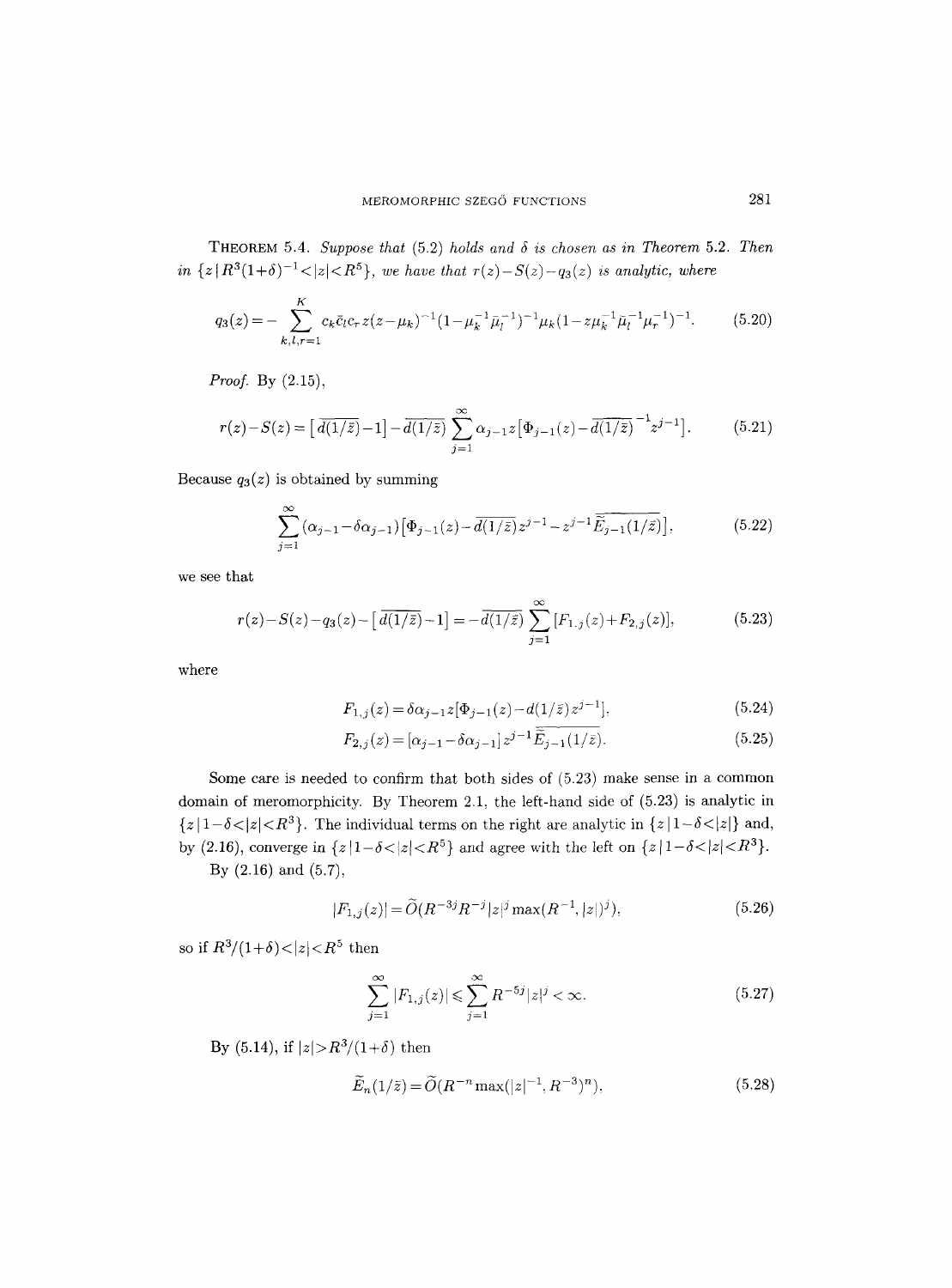**THEOREM** 5.4. Suppose that  $(5.2)$  holds and  $\delta$  is chosen as in Theorem 5.2. Then *in*  $\{z | R^3(1+\delta)^{-1} < |z| < R^5\}$ , *we have that*  $r(z) - S(z) - q_3(z)$  *is analytic, where* 

$$
q_3(z) = -\sum_{k,l,r=1}^{K} c_k \bar{c}_l c_r z (z - \mu_k)^{-1} (1 - \mu_k^{-1} \bar{\mu}_l^{-1})^{-1} \mu_k (1 - z \mu_k^{-1} \bar{\mu}_l^{-1} \mu_r^{-1})^{-1}.
$$
 (5.20)

*Proof.* By (2,15),

$$
r(z) - S(z) = \left[ \overline{d(1/\bar{z})} - 1 \right] - \overline{d(1/\bar{z})} \sum_{j=1}^{\infty} \alpha_{j-1} z \left[ \Phi_{j-1}(z) - \overline{d(1/\bar{z})} \right]^{-1} z^{j-1} \right].
$$
 (5.21)

Because  $q_3(z)$  is obtained by summing

$$
\sum_{j=1}^{\infty} (\alpha_{j-1} - \delta \alpha_{j-1}) \left[ \Phi_{j-1}(z) - \overline{d(1/\bar{z})} z^{j-1} - z^{j-1} \overline{\widetilde{E}_{j-1}(1/\bar{z})} \right],\tag{5.22}
$$

we see that

$$
r(z) - S(z) - q_3(z) - \left[ \overline{d(1/\bar{z})} - 1 \right] = -\overline{d(1/\bar{z})} \sum_{j=1}^{\infty} [F_{1,j}(z) + F_{2,j}(z)],
$$
(5.23)

where

$$
F_{1,j}(z) = \delta \alpha_{j-1} z [\Phi_{j-1}(z) - d(1/\bar{z}) z^{j-1}], \tag{5.24}
$$

$$
F_{2,j}(z) = [\alpha_{j-1} - \delta \alpha_{j-1}] z^{j-1} \widetilde{\tilde{E}}_{j-1}(1/\bar{z}).
$$
\n(5.25)

Some care is needed to confirm that both sides of (5.23) make sense in a common domain of meromorphicity. By Theorem 2.1, the left-hand side of (5.23) is analytic in  ${z | 1-\delta < |z| < R^3}$ . The individual terms on the right are analytic in  ${z | 1-\delta < |z|}$  and, by (2.16), converge in  $\{z \mid 1-\delta \lt |z| < R^5\}$  and agree with the left on  $\{z \mid 1-\delta \lt |z| < R^3\}$ . By (2.16) and (5.7),

$$
|F_{1,j}(z)| = \widetilde{O}(R^{-3j}R^{-j}|z|^j \max(R^{-1},|z|)^j), \tag{5.26}
$$

so if  $R^3/(1+\delta) < |z| < R^5$  then

$$
\sum_{j=1}^{\infty} |F_{1,j}(z)| \le \sum_{j=1}^{\infty} R^{-5j} |z|^j < \infty. \tag{5.27}
$$

By (5.14), if  $|z| > R^3/(1+\delta)$  then

$$
\widetilde{E}_n(1/\bar{z}) = \widetilde{O}(R^{-n}\max(|z|^{-1}, R^{-3})^n),\tag{5.28}
$$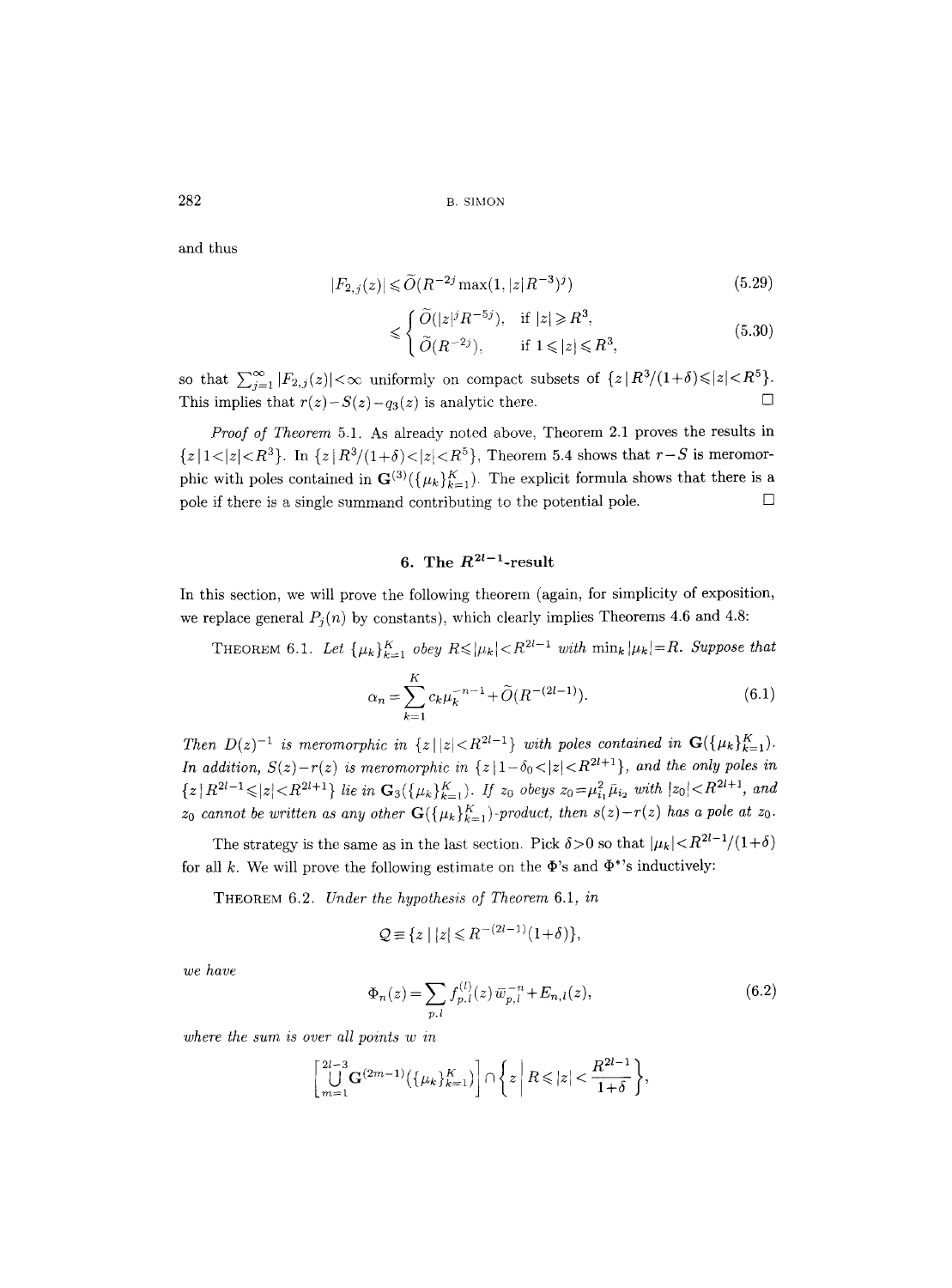and thus

$$
|F_{2,j}(z)| \le \tilde{O}(R^{-2j} \max(1, |z|R^{-3})^j)
$$
\n(5.29)

$$
\leqslant \begin{cases} \widetilde{O}(|z|^{j}R^{-5j}), & \text{if } |z| \geqslant R^3, \\ \widetilde{O}(R^{-2j}), & \text{if } 1 \leqslant |z| \leqslant R^3, \end{cases} \tag{5.30}
$$

so that  $\sum_{j=1}^{\infty} |F_{2,j}(z)| < \infty$  uniformly on compact subsets of  $\{z | R^3/(1+\delta) \leq |z| < R^5 \}$ . This implies that  $r(z) - S(z) - q_3(z)$  is analytic there.

*Proof of Theorem* 5.1. As already noted above, Theorem 2.1 proves the results in  ${z | 1 < |z| < R^3}$ . In  ${z | R^3/(1+\delta) < |z| < R^5}$ , Theorem 5.4 shows that  $r-S$  is meromorphic with poles contained in  $\mathbf{G}^{(3)}(\{\mu_k\}_{k=1}^K)$ . The explicit formula shows that there is a pole if there is a single summand contributing to the potential pole.  $\Box$ 

# 6. The  $R^{2l-1}$ -result

In this section, we will prove the following theorem (again, for simplicity of exposition, we replace general  $P_j(n)$  by constants), which clearly implies Theorems 4.6 and 4.8:

THEOREM 6.1. Let  $\{\mu_k\}_{k=1}^K$  obey  $R \leq |\mu_k| < R^{2l-1}$  with  $\min_k |\mu_k| = R$ . Suppose that

$$
\alpha_n = \sum_{k=1}^{K} c_k \mu_k^{-n-1} + \tilde{O}(R^{-(2l-1)}).
$$
 (6.1)

*Then*  $D(z)^{-1}$  *is meromorphic in*  $\{z \mid |z| < R^{2l-1}\}$  *with poles contained in*  $\mathbf{G}(\{\mu_k\}_{k=1}^K)$ . *In addition,*  $S(z)-r(z)$  *is meromorphic in*  $\{z \mid 1-\delta_0 < |z| < R^{2l+1}\}$ , *and the only poles in*  $\{z | R^{2l-1} \leqslant |z| < R^{2l+1} \}$  *lie in*  $\mathbf{G}_3(\{\mu_k\}_{k=1}^K)$ . *If*  $z_0$  *obeys*  $z_0 = \mu_{i_1}^2 \bar{\mu}_{i_2}$  with  $|z_0| < R^{2l+1}$ , and  $z_0$  cannot be written as any other  $G({\mu_k}_{k=1}^K)$ -product, then  $s(z)-r(z)$  has a pole at  $z_0$ .

The strategy is the same as in the last section. Pick  $\delta > 0$  so that  $|\mu_k| < R^{2l-1}/(1+\delta)$ for all k. We will prove the following estimate on the  $\Phi$ 's and  $\Phi^*$ 's inductively:

THEOREM 6.2. *Under the hypothesis of Theorem* 6.1, *in* 

$$
\mathcal{Q} \equiv \{ z \mid |z| \leq R^{-(2l-1)}(1+\delta) \},\
$$

*we have* 

$$
\Phi_n(z) = \sum_{p,l} f_{p,l}^{(l)}(z) \,\overline{\omega}_{p,l}^{-n} + E_{n,l}(z),\tag{6.2}
$$

*where the sum is over all points w in* 

$$
\left[\bigcup_{m=1}^{2l-3} \mathbf{G}^{(2m-1)}\big(\{\mu_k\}_{k=1}^K\big)\right] \cap \left\{z \mid R \leqslant |z| < \frac{R^{2l-1}}{1+\delta}\right\},\right.
$$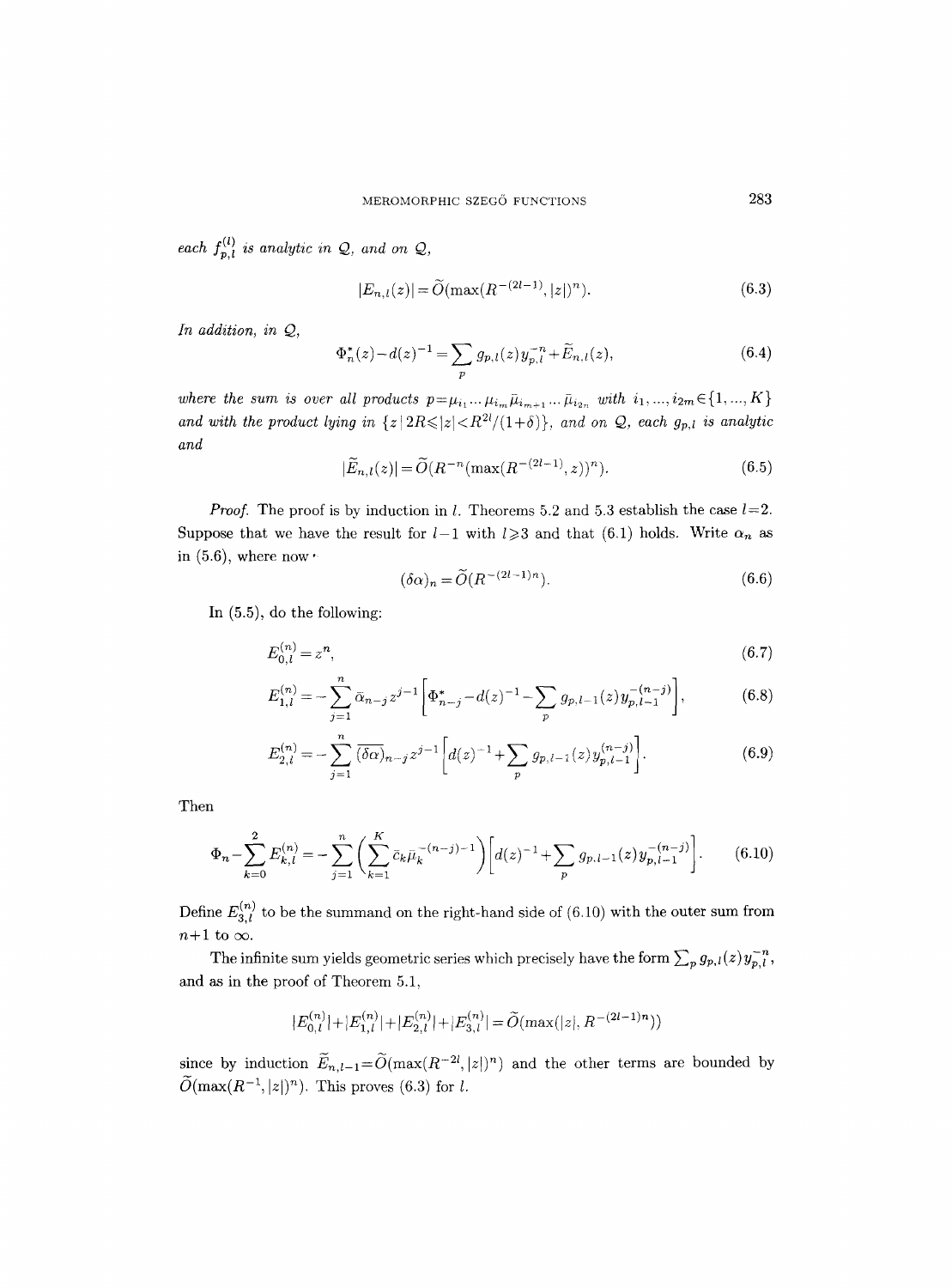*each*  $f_{p,l}^{(l)}$  *is analytic in Q, and on Q,* 

$$
|E_{n,l}(z)| = \widetilde{O}(\max(R^{-(2l-1)}, |z|)^n). \tag{6.3}
$$

*In addition, in Q,* 

$$
\Phi_n^*(z) - d(z)^{-1} = \sum_p g_{p,l}(z) y_{p,l}^{-n} + \widetilde{E}_{n,l}(z),\tag{6.4}
$$

where the sum is over all products  $p=\mu_{i_1} \ldots \mu_{i_m} \bar{\mu}_{i_{m+1}} \ldots \bar{\mu}_{i_{2n}}$  with  $i_1, ..., i_{2m} \in \{1, ..., K\}$ and with the product lying in  $\{z | 2R \leq |z| < R^{2l}/(1+\delta)\}$ , and on Q, each  $g_{p,l}$  is analytic *and* 

$$
|\widetilde{E}_{n,l}(z)| = \widetilde{O}(R^{-n}(\max(R^{-(2l-1)}, z))^n).
$$
 (6.5)

*Proof.* The proof is by induction in *l*. Theorems 5.2 and 5.3 establish the case  $l=2$ . Suppose that we have the result for  $l-1$  with  $l \geqslant 3$  and that (6.1) holds. Write  $\alpha_n$  as in  $(5.6)$ , where now'

$$
(\delta \alpha)_n = \widetilde{O}(R^{-(2l-1)n}).\tag{6.6}
$$

In (5.5), do the following:

$$
E_{0,l}^{(n)} = z^n,\tag{6.7}
$$

$$
E_{1,l}^{(n)} = -\sum_{j=1}^{n} \bar{\alpha}_{n-j} z^{j-1} \left[ \Phi_{n-j}^{*} - d(z)^{-1} - \sum_{p} g_{p,l-1}(z) y_{p,l-1}^{-(n-j)} \right],
$$
(6.8)

$$
E_{2,l}^{(n)} = -\sum_{j=1}^{n} \overline{(\delta \alpha)}_{n-j} z^{j-1} \left[ d(z)^{-1} + \sum_{p} g_{p,l-1}(z) y_{p,l-1}^{(n-j)} \right]. \tag{6.9}
$$

Then

$$
\Phi_n - \sum_{k=0}^2 E_{k,l}^{(n)} = -\sum_{j=1}^n \left( \sum_{k=1}^K \bar{c}_k \bar{\mu}_k^{-(n-j)-1} \right) \left[ d(z)^{-1} + \sum_p g_{p,l-1}(z) y_{p,l-1}^{-(n-j)} \right]. \tag{6.10}
$$

Define  $E_{3,l}^{(n)}$  to be the summand on the right-hand side of (6.10) with the outer sum from  $n+1$  to  $\infty$ .

The infinite sum yields geometric series which precisely have the form  $\sum_p g_{p,l}(z)y_{p,l}^{-n}$ , and as in the proof of Theorem 5.1,

$$
|E_{0,l}^{(n)}|+|E_{1,l}^{(n)}|+|E_{2,l}^{(n)}|+|E_{3,l}^{(n)}|=\widetilde{O}(\max(|z|,R^{-(2l-1)n}))
$$

since by induction  $\widetilde{E}_{n,l-1}=\widetilde{O}(\max(R^{-2l}, |z|)^n)$  and the other terms are bounded by  $\widetilde{O}(\max(R^{-1}, |z|)^n)$ . This proves (6.3) for l.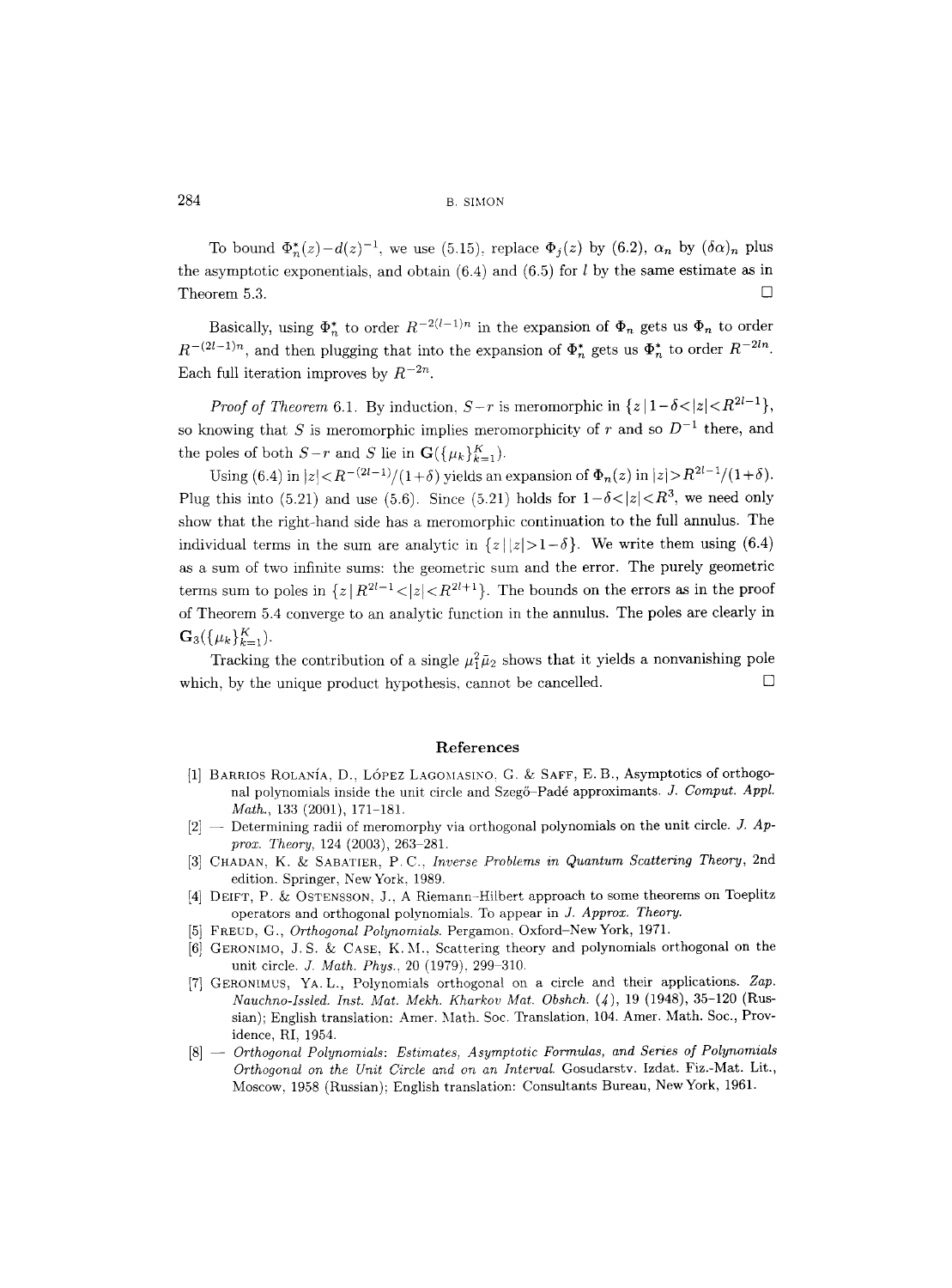To bound  $\Phi_n^*(z) - d(z)^{-1}$ , we use (5.15), replace  $\Phi_i(z)$  by *(6.2)*,  $\alpha_n$  by  $(\delta \alpha)_n$  plus the asymptotic exponentials, and obtain  $(6.4)$  and  $(6.5)$  for  $l$  by the same estimate as in Theorem 5.3.  $\Box$ 

Basically, using  $\Phi_n^*$  to order  $R^{-2(l-1)n}$  in the expansion of  $\Phi_n$  gets us  $\Phi_n$  to order  $R^{-(2l-1)n}$ , and then plugging that into the expansion of  $\Phi_n^*$  gets us  $\Phi_n^*$  to order  $R^{-2ln}$ . Each full iteration improves by  $R^{-2n}$ .

*Proof of Theorem 6.1.* By induction,  $S-r$  is meromorphic in  $\{z|1-\delta<|z|< R^{2l-1}\}$ , so knowing that S is meromorphic implies meromorphicity of r and so  $D^{-1}$  there, and the poles of both  $S-r$  and S lie in  $\mathbf{G}(\{\mu_k\}_{k=1}^K)$ .

Using (6.4) in  $|z| < R^{-(2l-1)/(1+\delta)}$  yields an expansion of  $\Phi_n(z)$  in  $|z| > R^{2l-1}/(1+\delta)$ . Plug this into (5.21) and use (5.6). Since (5.21) holds for  $1-\delta<|z|< R^3$ , we need only show that the right-hand side has a meromorphic continuation to the fifll annulus. The individual terms in the sum are analytic in  $\{z \mid |z| > 1 - \delta\}$ . We write them using (6.4) as a sum of two infinite sums: the geometric sum and the error. The purely geometric terms sum to poles in  $\{z | R^{2l-1} < |z| < R^{2l+1}\}\$ . The bounds on the errors as in the proof of Theorem 5.4 converge to an analytic function in the annulus. The poles are clearly in  $\mathbf{G}_3(\{\mu_k\}_{k=1}^K).$ 

Tracking the contribution of a single  $\mu_1^2 \bar{\mu}_2$  shows that it yields a nonvanishing pole which, by the unique product hypothesis, cannot be cancelled.  $\Box$ 

#### References

- [1] BARRIOS ROLANÍA, D., LÓPEZ LAGOMASINO, G. & SAFF, E. B., Asymptotics of orthogonal polynomials inside the unit circle and Szegő-Padé approximants. *J. Comput. Appl. Math.,* 133 (2001), 171-181.
- [2] -- Determining radii of meromorphy via orthogonal polynomials on the unit circle. *J. Approx. Theory,* 124 (2003), 263-281.
- [3] CHADAN, K. & SABATIER, P.C., *Inverse Problems in Quantum Scattering Theory*, 2nd edition. Springer, New York, 1989.
- [4] DEIFT, P. & OSTENSSON, J., A Riemann-Hilbert approach to some theorems on Toeplitz operators and orthogonal polynomials. To appear in *J. Approx. Theory.*
- [5] FREUD, G., *Orthogonal Polynomials.* Pergamon, Oxford-NewYork, 1971.
- [6] GERONIMO, J.S. & CASE, K.M., Scattering theory and polynomials orthogonal on the unit circle. *J. Math. Phys.,* 20 (1979), 299-310.
- [7] GERONIMUS, YA. L., Polynomials orthogonal on a circle and their applications. Zap. *Nauchno-Issled. Inst. Mat. Mekh. Kharkov Mat. Obshch.* (4), 19 (1948), 35-120 (Russian); English translation: Amer. Math. Soc. Translation, 104. Amer. Math. Soc., Providence, RI, 1954.
- [8] -- *Orthogonal Polynomials: Estimates, Asymptotic Formulas, and Series of Polynomials Orthogonal on the Unit Circle and on an Interval.* Gosudarstv. Izdat. Fiz.-Mat. Lit., Moscow, 1958 (Russian); English translation: Consultants Bureau, New York, 1961.